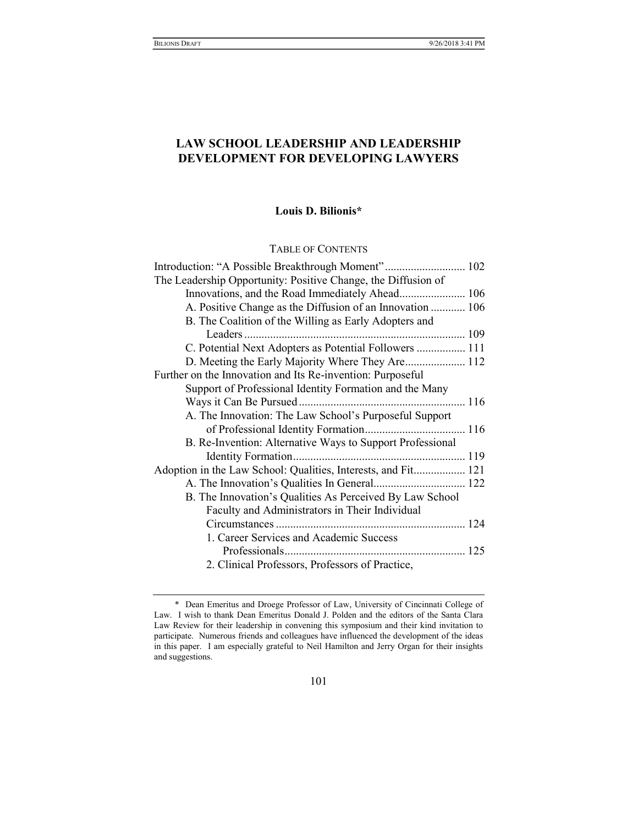# LAW SCHOOL LEADERSHIP AND LEADERSHIP DEVELOPMENT FOR DEVELOPING LAWYERS

## Louis D. Bilionis\*

TABLE OF CONTENTS

| Introduction: "A Possible Breakthrough Moment" 102            |  |
|---------------------------------------------------------------|--|
| The Leadership Opportunity: Positive Change, the Diffusion of |  |
| Innovations, and the Road Immediately Ahead 106               |  |
| A. Positive Change as the Diffusion of an Innovation  106     |  |
| B. The Coalition of the Willing as Early Adopters and         |  |
|                                                               |  |
| C. Potential Next Adopters as Potential Followers  111        |  |
| D. Meeting the Early Majority Where They Are 112              |  |
| Further on the Innovation and Its Re-invention: Purposeful    |  |
| Support of Professional Identity Formation and the Many       |  |
|                                                               |  |
| A. The Innovation: The Law School's Purposeful Support        |  |
|                                                               |  |
| B. Re-Invention: Alternative Ways to Support Professional     |  |
|                                                               |  |
| Adoption in the Law School: Qualities, Interests, and Fit 121 |  |
|                                                               |  |
| B. The Innovation's Qualities As Perceived By Law School      |  |
| Faculty and Administrators in Their Individual                |  |
|                                                               |  |
| 1. Career Services and Academic Success                       |  |
|                                                               |  |
| 2. Clinical Professors, Professors of Practice,               |  |

 <sup>\*</sup> Dean Emeritus and Droege Professor of Law, University of Cincinnati College of Law. I wish to thank Dean Emeritus Donald J. Polden and the editors of the Santa Clara Law Review for their leadership in convening this symposium and their kind invitation to participate. Numerous friends and colleagues have influenced the development of the ideas in this paper. I am especially grateful to Neil Hamilton and Jerry Organ for their insights and suggestions.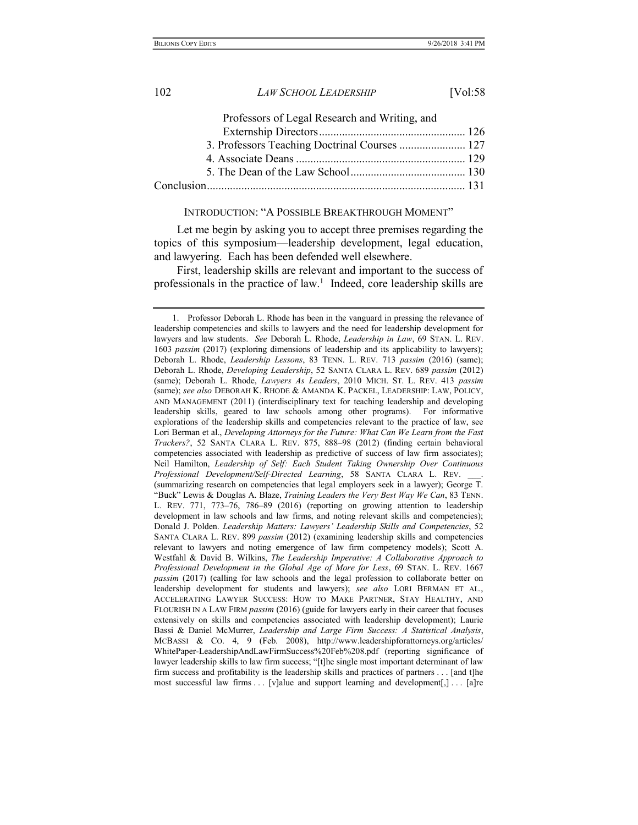| Professors of Legal Research and Writing, and |  |
|-----------------------------------------------|--|
|                                               |  |
| 3. Professors Teaching Doctrinal Courses  127 |  |
|                                               |  |
|                                               |  |
|                                               |  |
|                                               |  |

### INTRODUCTION: "A POSSIBLE BREAKTHROUGH MOMENT"

Let me begin by asking you to accept three premises regarding the topics of this symposium—leadership development, legal education, and lawyering. Each has been defended well elsewhere.

First, leadership skills are relevant and important to the success of professionals in the practice of law.<sup>1</sup> Indeed, core leadership skills are

 <sup>1.</sup> Professor Deborah L. Rhode has been in the vanguard in pressing the relevance of leadership competencies and skills to lawyers and the need for leadership development for lawyers and law students. See Deborah L. Rhode, Leadership in Law, 69 STAN. L. REV. 1603 passim (2017) (exploring dimensions of leadership and its applicability to lawyers); Deborah L. Rhode, Leadership Lessons, 83 TENN. L. REV. 713 passim (2016) (same); Deborah L. Rhode, Developing Leadership, 52 SANTA CLARA L. REV. 689 passim (2012) (same); Deborah L. Rhode, Lawyers As Leaders, 2010 MICH. ST. L. REV. 413 passim (same); see also DEBORAH K. RHODE & AMANDA K. PACKEL, LEADERSHIP: LAW, POLICY, AND MANAGEMENT (2011) (interdisciplinary text for teaching leadership and developing leadership skills, geared to law schools among other programs). For informative explorations of the leadership skills and competencies relevant to the practice of law, see Lori Berman et al., Developing Attorneys for the Future: What Can We Learn from the Fast Trackers?, 52 SANTA CLARA L. REV. 875, 888–98 (2012) (finding certain behavioral competencies associated with leadership as predictive of success of law firm associates); Neil Hamilton, Leadership of Self: Each Student Taking Ownership Over Continuous Professional Development/Self-Directed Learning, 58 SANTA CLARA L. REV. (summarizing research on competencies that legal employers seek in a lawyer); George T. "Buck" Lewis & Douglas A. Blaze, Training Leaders the Very Best Way We Can, 83 TENN. L. REV. 771, 773–76, 786–89 (2016) (reporting on growing attention to leadership development in law schools and law firms, and noting relevant skills and competencies); Donald J. Polden. Leadership Matters: Lawyers' Leadership Skills and Competencies, 52 SANTA CLARA L. REV. 899 passim (2012) (examining leadership skills and competencies relevant to lawyers and noting emergence of law firm competency models); Scott A. Westfahl & David B. Wilkins, The Leadership Imperative: A Collaborative Approach to Professional Development in the Global Age of More for Less, 69 STAN. L. REV. 1667 passim (2017) (calling for law schools and the legal profession to collaborate better on leadership development for students and lawyers); see also LORI BERMAN ET AL., ACCELERATING LAWYER SUCCESS: HOW TO MAKE PARTNER, STAY HEALTHY, AND FLOURISH IN A LAW FIRM passim (2016) (guide for lawyers early in their career that focuses extensively on skills and competencies associated with leadership development); Laurie Bassi & Daniel McMurrer, Leadership and Large Firm Success: A Statistical Analysis, MCBASSI & CO. 4, 9 (Feb. 2008), http://www.leadershipforattorneys.org/articles/ WhitePaper-LeadershipAndLawFirmSuccess%20Feb%208.pdf (reporting significance of lawyer leadership skills to law firm success; "[t]he single most important determinant of law firm success and profitability is the leadership skills and practices of partners . . . [and t]he most successful law firms  $\dots$  [v]alue and support learning and development[,]  $\dots$  [a]re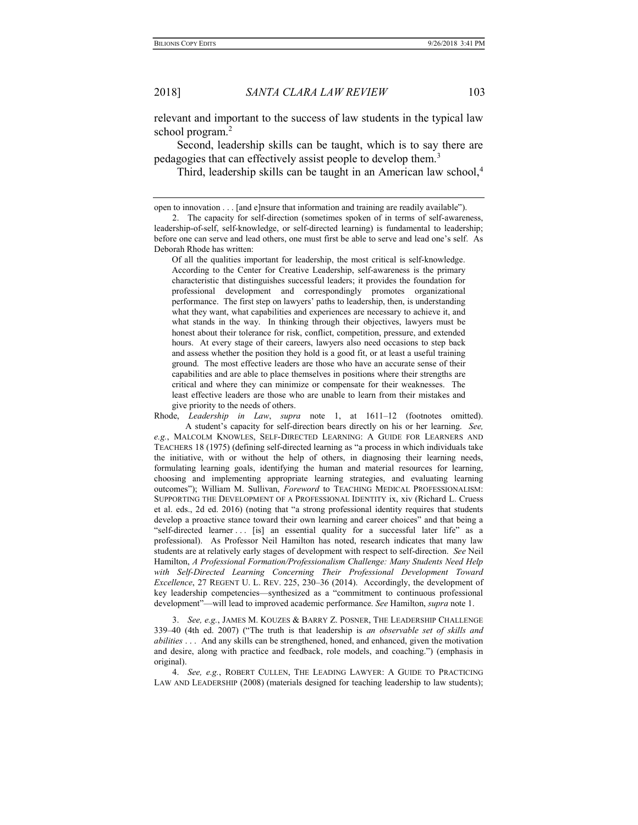relevant and important to the success of law students in the typical law school program.<sup>2</sup>

Second, leadership skills can be taught, which is to say there are pedagogies that can effectively assist people to develop them.<sup>3</sup>

Third, leadership skills can be taught in an American law school,<sup>4</sup>

Of all the qualities important for leadership, the most critical is self-knowledge. According to the Center for Creative Leadership, self-awareness is the primary characteristic that distinguishes successful leaders; it provides the foundation for professional development and correspondingly promotes organizational performance. The first step on lawyers' paths to leadership, then, is understanding what they want, what capabilities and experiences are necessary to achieve it, and what stands in the way. In thinking through their objectives, lawyers must be honest about their tolerance for risk, conflict, competition, pressure, and extended hours. At every stage of their careers, lawyers also need occasions to step back and assess whether the position they hold is a good fit, or at least a useful training ground. The most effective leaders are those who have an accurate sense of their capabilities and are able to place themselves in positions where their strengths are critical and where they can minimize or compensate for their weaknesses. The least effective leaders are those who are unable to learn from their mistakes and give priority to the needs of others.

Rhode, Leadership in Law, supra note 1, at 1611–12 (footnotes omitted). A student's capacity for self-direction bears directly on his or her learning. See, e.g., MALCOLM KNOWLES, SELF-DIRECTED LEARNING: A GUIDE FOR LEARNERS AND TEACHERS 18 (1975) (defining self-directed learning as "a process in which individuals take the initiative, with or without the help of others, in diagnosing their learning needs, formulating learning goals, identifying the human and material resources for learning, choosing and implementing appropriate learning strategies, and evaluating learning outcomes"); William M. Sullivan, Foreword to TEACHING MEDICAL PROFESSIONALISM: SUPPORTING THE DEVELOPMENT OF A PROFESSIONAL IDENTITY ix, xiv (Richard L. Cruess et al. eds., 2d ed. 2016) (noting that "a strong professional identity requires that students develop a proactive stance toward their own learning and career choices" and that being a "self-directed learner . . . [is] an essential quality for a successful later life" as a professional). As Professor Neil Hamilton has noted, research indicates that many law students are at relatively early stages of development with respect to self-direction. See Neil Hamilton, A Professional Formation/Professionalism Challenge: Many Students Need Help with Self-Directed Learning Concerning Their Professional Development Toward Excellence, 27 REGENT U. L. REV. 225, 230–36 (2014). Accordingly, the development of key leadership competencies—synthesized as a "commitment to continuous professional development"—will lead to improved academic performance. See Hamilton, *supra* note 1.

3. See, e.g., JAMES M. KOUZES & BARRY Z. POSNER, THE LEADERSHIP CHALLENGE 339–40 (4th ed. 2007) ("The truth is that leadership is an observable set of skills and abilities . . . And any skills can be strengthened, honed, and enhanced, given the motivation and desire, along with practice and feedback, role models, and coaching.") (emphasis in original).

 4. See, e.g., ROBERT CULLEN, THE LEADING LAWYER: A GUIDE TO PRACTICING LAW AND LEADERSHIP (2008) (materials designed for teaching leadership to law students);

open to innovation . . . [and e]nsure that information and training are readily available").

 <sup>2.</sup> The capacity for self-direction (sometimes spoken of in terms of self-awareness, leadership-of-self, self-knowledge, or self-directed learning) is fundamental to leadership; before one can serve and lead others, one must first be able to serve and lead one's self. As Deborah Rhode has written: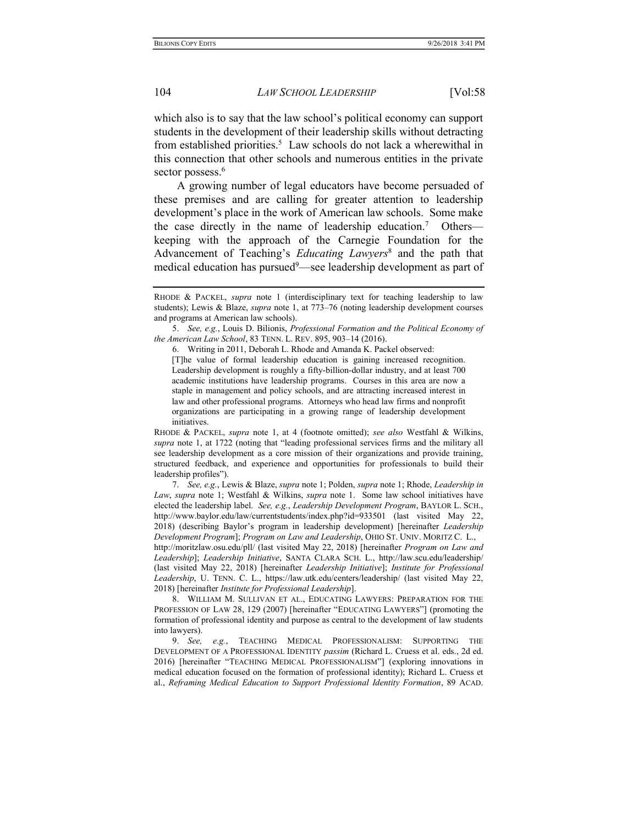which also is to say that the law school's political economy can support students in the development of their leadership skills without detracting from established priorities.<sup>5</sup> Law schools do not lack a wherewithal in this connection that other schools and numerous entities in the private sector possess.<sup>6</sup>

A growing number of legal educators have become persuaded of these premises and are calling for greater attention to leadership development's place in the work of American law schools. Some make the case directly in the name of leadership education.<sup>7</sup> Otherskeeping with the approach of the Carnegie Foundation for the Advancement of Teaching's *Educating Lawyers*<sup>8</sup> and the path that medical education has pursued<sup>9</sup>—see leadership development as part of

RHODE & PACKEL, *supra* note 1 (interdisciplinary text for teaching leadership to law students); Lewis & Blaze, supra note 1, at 773–76 (noting leadership development courses and programs at American law schools).

 <sup>5.</sup> See, e.g., Louis D. Bilionis, Professional Formation and the Political Economy of the American Law School, 83 TENN. L. REV. 895, 903–14 (2016).

 <sup>6.</sup> Writing in 2011, Deborah L. Rhode and Amanda K. Packel observed:

<sup>[</sup>T]he value of formal leadership education is gaining increased recognition. Leadership development is roughly a fifty-billion-dollar industry, and at least 700 academic institutions have leadership programs. Courses in this area are now a staple in management and policy schools, and are attracting increased interest in law and other professional programs. Attorneys who head law firms and nonprofit organizations are participating in a growing range of leadership development initiatives.

RHODE & PACKEL, supra note 1, at 4 (footnote omitted); see also Westfahl & Wilkins, supra note 1, at 1722 (noting that "leading professional services firms and the military all see leadership development as a core mission of their organizations and provide training, structured feedback, and experience and opportunities for professionals to build their leadership profiles").

 <sup>7.</sup> See, e.g., Lewis & Blaze, supra note 1; Polden, supra note 1; Rhode, Leadership in Law, supra note 1; Westfahl & Wilkins, supra note 1. Some law school initiatives have elected the leadership label. See, e.g., Leadership Development Program, BAYLOR L. SCH., http://www.baylor.edu/law/currentstudents/index.php?id=933501 (last visited May 22, 2018) (describing Baylor's program in leadership development) [hereinafter Leadership Development Program]; Program on Law and Leadership, OHIO ST. UNIV. MORITZ C. L., http://moritzlaw.osu.edu/pll/ (last visited May 22, 2018) [hereinafter *Program on Law and* Leadership]; Leadership Initiative, SANTA CLARA SCH. L., http://law.scu.edu/leadership/ (last visited May 22, 2018) [hereinafter Leadership Initiative]; Institute for Professional Leadership, U. TENN. C. L., https://law.utk.edu/centers/leadership/ (last visited May 22, 2018) [hereinafter Institute for Professional Leadership].

 <sup>8.</sup> WILLIAM M. SULLIVAN ET AL., EDUCATING LAWYERS: PREPARATION FOR THE PROFESSION OF LAW 28, 129 (2007) [hereinafter "EDUCATING LAWYERS"] (promoting the formation of professional identity and purpose as central to the development of law students into lawyers).

 <sup>9.</sup> See, e.g., TEACHING MEDICAL PROFESSIONALISM: SUPPORTING THE DEVELOPMENT OF A PROFESSIONAL IDENTITY passim (Richard L. Cruess et al. eds., 2d ed. 2016) [hereinafter "TEACHING MEDICAL PROFESSIONALISM"] (exploring innovations in medical education focused on the formation of professional identity); Richard L. Cruess et al., Reframing Medical Education to Support Professional Identity Formation, 89 ACAD.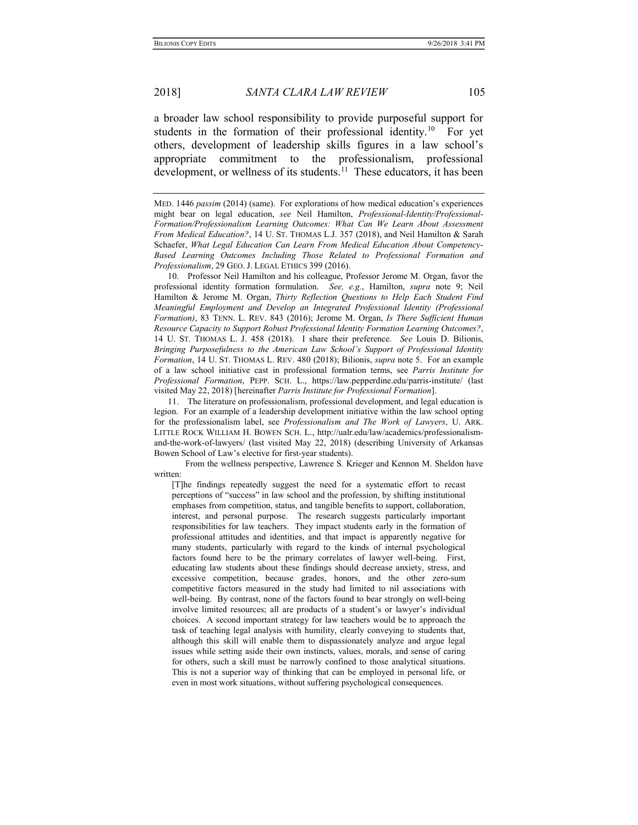a broader law school responsibility to provide purposeful support for students in the formation of their professional identity.<sup>10</sup> For yet others, development of leadership skills figures in a law school's appropriate commitment to the professionalism, professional development, or wellness of its students.<sup>11</sup> These educators, it has been

 10. Professor Neil Hamilton and his colleague, Professor Jerome M. Organ, favor the professional identity formation formulation. See, e.g., Hamilton, supra note 9; Neil Hamilton & Jerome M. Organ, Thirty Reflection Questions to Help Each Student Find Meaningful Employment and Develop an Integrated Professional Identity (Professional Formation), 83 TENN. L. REV. 843 (2016); Jerome M. Organ, Is There Sufficient Human Resource Capacity to Support Robust Professional Identity Formation Learning Outcomes?, 14 U. ST. THOMAS L. J. 458 (2018). I share their preference. See Louis D. Bilionis, Bringing Purposefulness to the American Law School's Support of Professional Identity Formation, 14 U. ST. THOMAS L. REV. 480 (2018); Bilionis, supra note 5. For an example of a law school initiative cast in professional formation terms, see Parris Institute for Professional Formation, PEPP. SCH. L., https://law.pepperdine.edu/parris-institute/ (last visited May 22, 2018) [hereinafter Parris Institute for Professional Formation].

 11. The literature on professionalism, professional development, and legal education is legion. For an example of a leadership development initiative within the law school opting for the professionalism label, see Professionalism and The Work of Lawyers, U. ARK. LITTLE ROCK WILLIAM H. BOWEN SCH. L., http://ualr.edu/law/academics/professionalismand-the-work-of-lawyers/ (last visited May 22, 2018) (describing University of Arkansas Bowen School of Law's elective for first-year students).

 From the wellness perspective, Lawrence S. Krieger and Kennon M. Sheldon have written:

[T]he findings repeatedly suggest the need for a systematic effort to recast perceptions of "success" in law school and the profession, by shifting institutional emphases from competition, status, and tangible benefits to support, collaboration, interest, and personal purpose. The research suggests particularly important responsibilities for law teachers. They impact students early in the formation of professional attitudes and identities, and that impact is apparently negative for many students, particularly with regard to the kinds of internal psychological factors found here to be the primary correlates of lawyer well-being. First, educating law students about these findings should decrease anxiety, stress, and excessive competition, because grades, honors, and the other zero-sum competitive factors measured in the study had limited to nil associations with well-being. By contrast, none of the factors found to bear strongly on well-being involve limited resources; all are products of a student's or lawyer's individual choices. A second important strategy for law teachers would be to approach the task of teaching legal analysis with humility, clearly conveying to students that, although this skill will enable them to dispassionately analyze and argue legal issues while setting aside their own instincts, values, morals, and sense of caring for others, such a skill must be narrowly confined to those analytical situations. This is not a superior way of thinking that can be employed in personal life, or even in most work situations, without suffering psychological consequences.

MED. 1446 passim (2014) (same). For explorations of how medical education's experiences might bear on legal education, see Neil Hamilton, Professional-Identity/Professional-Formation/Professionalism Learning Outcomes: What Can We Learn About Assessment From Medical Education?, 14 U. ST. THOMAS L.J. 357 (2018), and Neil Hamilton & Sarah Schaefer, What Legal Education Can Learn From Medical Education About Competency-Based Learning Outcomes Including Those Related to Professional Formation and Professionalism, 29 GEO. J. LEGAL ETHICS 399 (2016).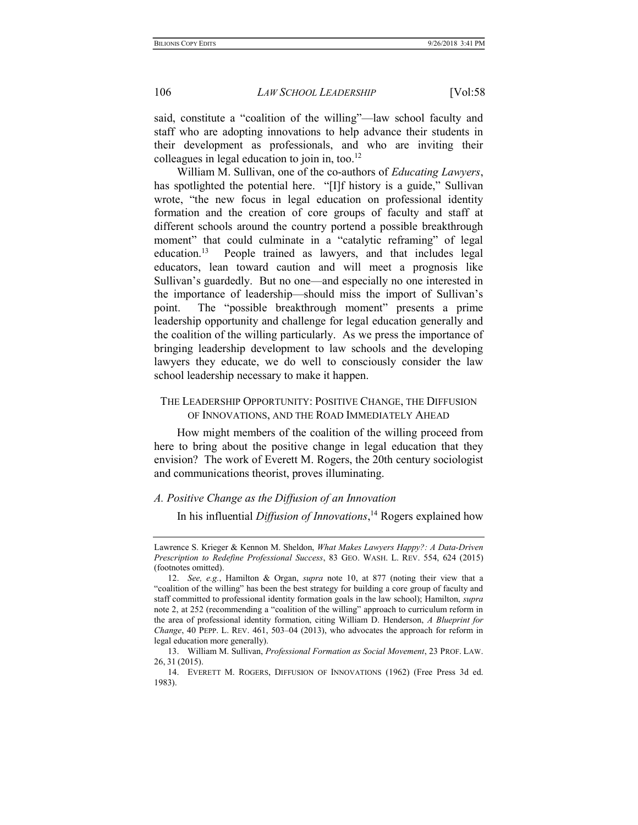said, constitute a "coalition of the willing"—law school faculty and staff who are adopting innovations to help advance their students in their development as professionals, and who are inviting their colleagues in legal education to join in, too.<sup>12</sup>

William M. Sullivan, one of the co-authors of *Educating Lawyers*, has spotlighted the potential here. "[I]f history is a guide," Sullivan wrote, "the new focus in legal education on professional identity formation and the creation of core groups of faculty and staff at different schools around the country portend a possible breakthrough moment" that could culminate in a "catalytic reframing" of legal education.<sup>13</sup> People trained as lawyers, and that includes legal educators, lean toward caution and will meet a prognosis like Sullivan's guardedly. But no one—and especially no one interested in the importance of leadership—should miss the import of Sullivan's point. The "possible breakthrough moment" presents a prime leadership opportunity and challenge for legal education generally and the coalition of the willing particularly. As we press the importance of bringing leadership development to law schools and the developing lawyers they educate, we do well to consciously consider the law school leadership necessary to make it happen.

## THE LEADERSHIP OPPORTUNITY: POSITIVE CHANGE, THE DIFFUSION OF INNOVATIONS, AND THE ROAD IMMEDIATELY AHEAD

How might members of the coalition of the willing proceed from here to bring about the positive change in legal education that they envision? The work of Everett M. Rogers, the 20th century sociologist and communications theorist, proves illuminating.

## A. Positive Change as the Diffusion of an Innovation

In his influential *Diffusion of Innovations*,<sup>14</sup> Rogers explained how

Lawrence S. Krieger & Kennon M. Sheldon, What Makes Lawyers Happy?: A Data-Driven Prescription to Redefine Professional Success, 83 GEO. WASH. L. REV. 554, 624 (2015) (footnotes omitted).

 <sup>12.</sup> See, e.g., Hamilton & Organ, supra note 10, at 877 (noting their view that a "coalition of the willing" has been the best strategy for building a core group of faculty and staff committed to professional identity formation goals in the law school); Hamilton, supra note 2, at 252 (recommending a "coalition of the willing" approach to curriculum reform in the area of professional identity formation, citing William D. Henderson, A Blueprint for Change, 40 PEPP. L. REV. 461, 503–04 (2013), who advocates the approach for reform in legal education more generally).

 <sup>13.</sup> William M. Sullivan, Professional Formation as Social Movement, 23 PROF. LAW. 26, 31 (2015).

 <sup>14.</sup> EVERETT M. ROGERS, DIFFUSION OF INNOVATIONS (1962) (Free Press 3d ed. 1983).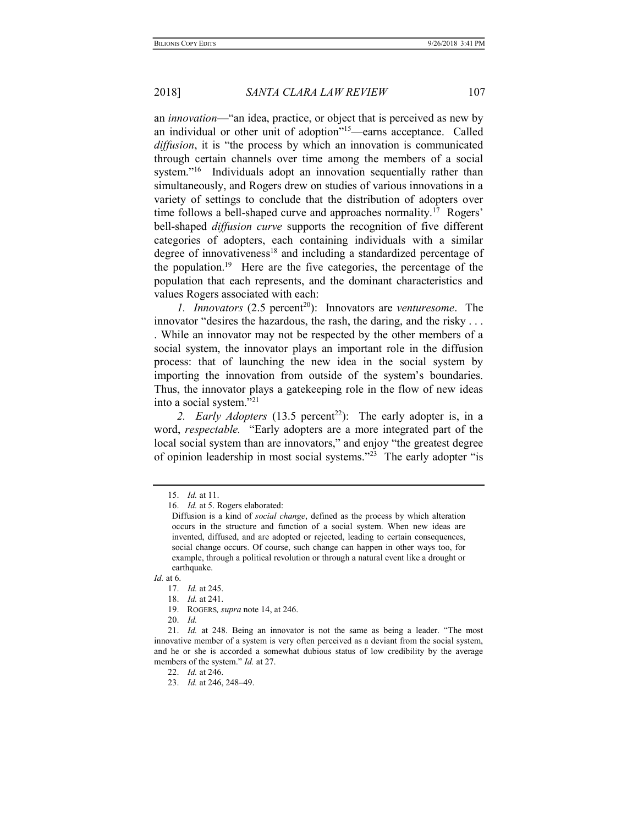an innovation—"an idea, practice, or object that is perceived as new by an individual or other unit of adoption"<sup>15</sup>—earns acceptance. Called diffusion, it is "the process by which an innovation is communicated through certain channels over time among the members of a social system."<sup>16</sup> Individuals adopt an innovation sequentially rather than simultaneously, and Rogers drew on studies of various innovations in a variety of settings to conclude that the distribution of adopters over time follows a bell-shaped curve and approaches normality.<sup>17</sup> Rogers' bell-shaped *diffusion curve* supports the recognition of five different categories of adopters, each containing individuals with a similar degree of innovativeness<sup>18</sup> and including a standardized percentage of the population.<sup>19</sup> Here are the five categories, the percentage of the population that each represents, and the dominant characteristics and values Rogers associated with each:

1. Innovators  $(2.5 \text{ percent}^{20})$ : Innovators are venturesome. The innovator "desires the hazardous, the rash, the daring, and the risky . . . . While an innovator may not be respected by the other members of a social system, the innovator plays an important role in the diffusion process: that of launching the new idea in the social system by importing the innovation from outside of the system's boundaries. Thus, the innovator plays a gatekeeping role in the flow of new ideas into a social system."<sup>21</sup>

2. Early Adopters (13.5 percent<sup>22</sup>): The early adopter is, in a word, respectable. "Early adopters are a more integrated part of the local social system than are innovators," and enjoy "the greatest degree of opinion leadership in most social systems."<sup>23</sup> The early adopter "is

 <sup>15.</sup> Id. at 11.

 <sup>16.</sup> Id. at 5. Rogers elaborated:

Diffusion is a kind of social change, defined as the process by which alteration occurs in the structure and function of a social system. When new ideas are invented, diffused, and are adopted or rejected, leading to certain consequences, social change occurs. Of course, such change can happen in other ways too, for example, through a political revolution or through a natural event like a drought or earthquake.

Id. at 6.

 <sup>17.</sup> Id. at 245.

 <sup>18.</sup> Id. at 241.

 <sup>19.</sup> ROGERS, supra note 14, at 246.

 <sup>20.</sup> Id.

 <sup>21.</sup> Id. at 248. Being an innovator is not the same as being a leader. "The most innovative member of a system is very often perceived as a deviant from the social system, and he or she is accorded a somewhat dubious status of low credibility by the average members of the system." *Id.* at 27.

 <sup>22.</sup> Id. at 246.

 <sup>23.</sup> Id. at 246, 248–49.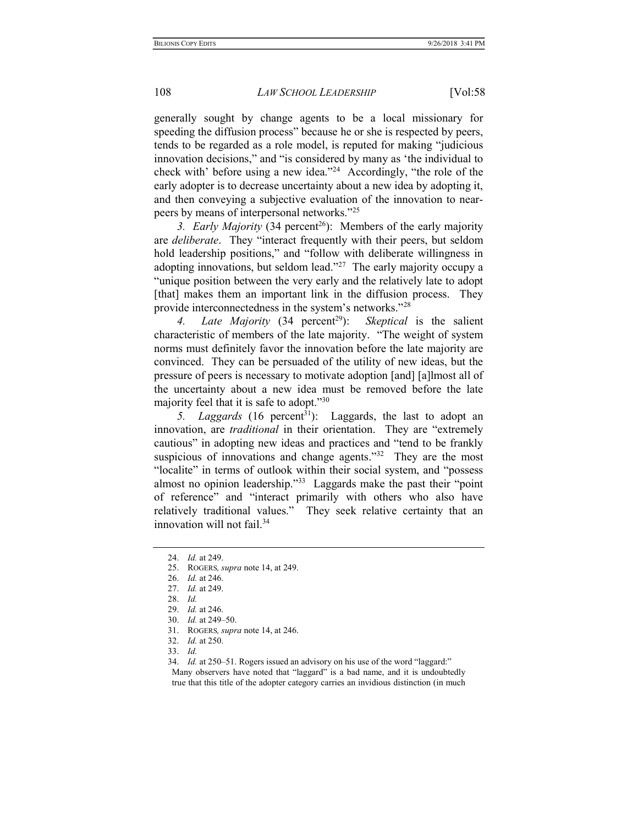generally sought by change agents to be a local missionary for speeding the diffusion process" because he or she is respected by peers, tends to be regarded as a role model, is reputed for making "judicious innovation decisions," and "is considered by many as 'the individual to check with' before using a new idea."<sup>24</sup> Accordingly, "the role of the early adopter is to decrease uncertainty about a new idea by adopting it, and then conveying a subjective evaluation of the innovation to nearpeers by means of interpersonal networks."<sup>25</sup>

3. Early Majority (34 percent<sup>26</sup>): Members of the early majority are deliberate. They "interact frequently with their peers, but seldom hold leadership positions," and "follow with deliberate willingness in adopting innovations, but seldom lead."<sup>27</sup> The early majority occupy a "unique position between the very early and the relatively late to adopt [that] makes them an important link in the diffusion process. They provide interconnectedness in the system's networks."<sup>28</sup>

4. Late Majority (34 percent<sup>29</sup>): Skeptical is the salient characteristic of members of the late majority. "The weight of system norms must definitely favor the innovation before the late majority are convinced. They can be persuaded of the utility of new ideas, but the pressure of peers is necessary to motivate adoption [and] [a]lmost all of the uncertainty about a new idea must be removed before the late majority feel that it is safe to adopt."<sup>30</sup>

5. Laggards  $(16 \text{ percent}^{31})$ : Laggards, the last to adopt an innovation, are *traditional* in their orientation. They are "extremely cautious" in adopting new ideas and practices and "tend to be frankly suspicious of innovations and change agents."<sup>32</sup> They are the most "localite" in terms of outlook within their social system, and "possess almost no opinion leadership."<sup>33</sup> Laggards make the past their "point" of reference" and "interact primarily with others who also have relatively traditional values." They seek relative certainty that an innovation will not fail. $34$ 

 <sup>24.</sup> Id. at 249.

<sup>25.</sup> ROGERS, *supra* note 14, at 249.

 <sup>26.</sup> Id. at 246.

 <sup>27.</sup> Id. at 249.

 <sup>28.</sup> Id.

 <sup>29.</sup> Id. at 246.

 <sup>30.</sup> Id. at 249–50.

 <sup>31.</sup> ROGERS, supra note 14, at 246.

 <sup>32.</sup> Id. at 250.

 <sup>33.</sup> Id.

 <sup>34.</sup> Id. at 250–51. Rogers issued an advisory on his use of the word "laggard:" Many observers have noted that "laggard" is a bad name, and it is undoubtedly true that this title of the adopter category carries an invidious distinction (in much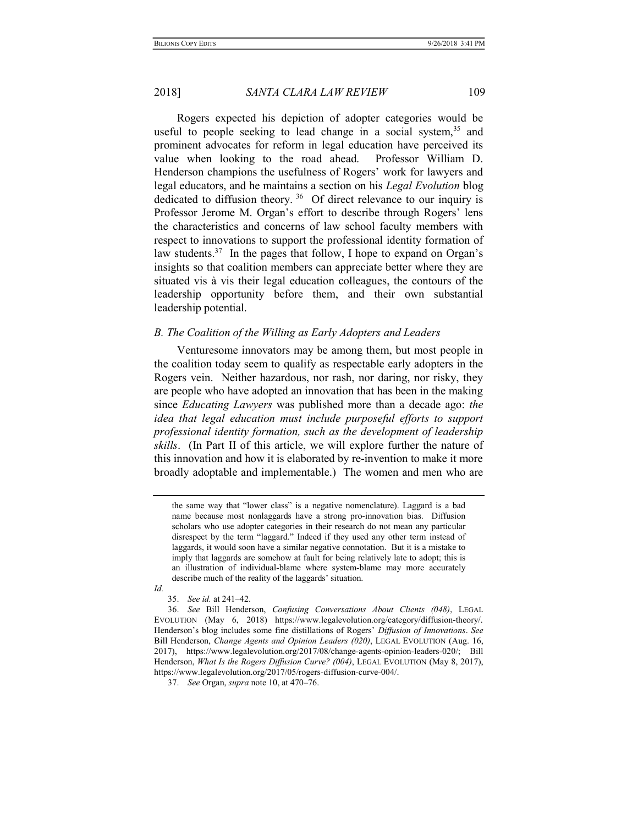Rogers expected his depiction of adopter categories would be useful to people seeking to lead change in a social system,  $35$  and prominent advocates for reform in legal education have perceived its value when looking to the road ahead. Professor William D. Henderson champions the usefulness of Rogers' work for lawyers and legal educators, and he maintains a section on his Legal Evolution blog dedicated to diffusion theory.<sup>36</sup> Of direct relevance to our inquiry is Professor Jerome M. Organ's effort to describe through Rogers' lens the characteristics and concerns of law school faculty members with respect to innovations to support the professional identity formation of law students.<sup>37</sup> In the pages that follow, I hope to expand on Organ's insights so that coalition members can appreciate better where they are situated vis à vis their legal education colleagues, the contours of the leadership opportunity before them, and their own substantial leadership potential.

### B. The Coalition of the Willing as Early Adopters and Leaders

Venturesome innovators may be among them, but most people in the coalition today seem to qualify as respectable early adopters in the Rogers vein. Neither hazardous, nor rash, nor daring, nor risky, they are people who have adopted an innovation that has been in the making since Educating Lawyers was published more than a decade ago: the idea that legal education must include purposeful efforts to support professional identity formation, such as the development of leadership skills. (In Part II of this article, we will explore further the nature of this innovation and how it is elaborated by re-invention to make it more broadly adoptable and implementable.) The women and men who are

the same way that "lower class" is a negative nomenclature). Laggard is a bad name because most nonlaggards have a strong pro-innovation bias. Diffusion scholars who use adopter categories in their research do not mean any particular disrespect by the term "laggard." Indeed if they used any other term instead of laggards, it would soon have a similar negative connotation. But it is a mistake to imply that laggards are somehow at fault for being relatively late to adopt; this is an illustration of individual-blame where system-blame may more accurately describe much of the reality of the laggards' situation.

Id.

35. See id. at 241–42.

 36. See Bill Henderson, Confusing Conversations About Clients (048), LEGAL EVOLUTION (May 6, 2018) https://www.legalevolution.org/category/diffusion-theory/. Henderson's blog includes some fine distillations of Rogers' Diffusion of Innovations. See Bill Henderson, Change Agents and Opinion Leaders (020), LEGAL EVOLUTION (Aug. 16, 2017), https://www.legalevolution.org/2017/08/change-agents-opinion-leaders-020/; Bill Henderson, What Is the Rogers Diffusion Curve? (004), LEGAL EVOLUTION (May 8, 2017), https://www.legalevolution.org/2017/05/rogers-diffusion-curve-004/.

 <sup>37.</sup> See Organ, supra note 10, at 470–76.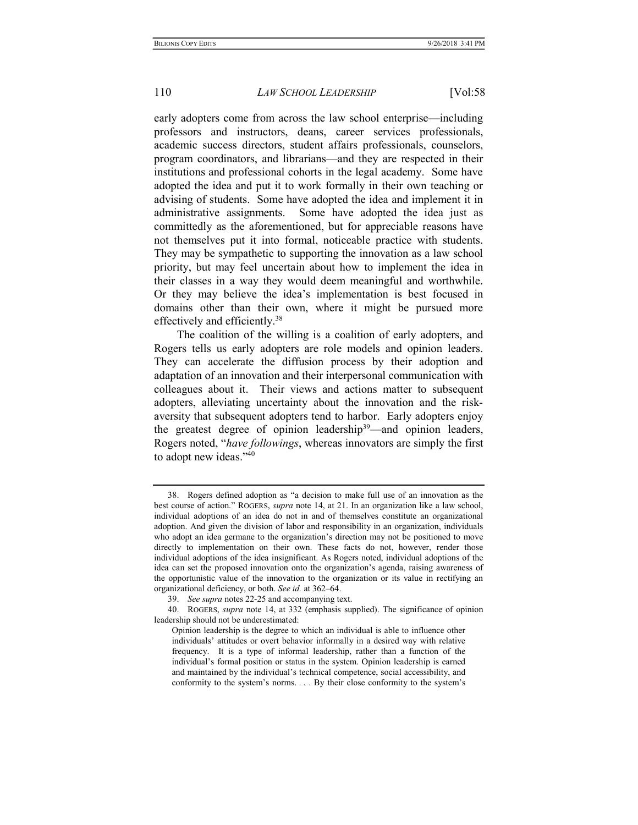early adopters come from across the law school enterprise—including professors and instructors, deans, career services professionals, academic success directors, student affairs professionals, counselors, program coordinators, and librarians—and they are respected in their institutions and professional cohorts in the legal academy. Some have adopted the idea and put it to work formally in their own teaching or advising of students. Some have adopted the idea and implement it in administrative assignments. Some have adopted the idea just as committedly as the aforementioned, but for appreciable reasons have not themselves put it into formal, noticeable practice with students. They may be sympathetic to supporting the innovation as a law school priority, but may feel uncertain about how to implement the idea in their classes in a way they would deem meaningful and worthwhile. Or they may believe the idea's implementation is best focused in domains other than their own, where it might be pursued more effectively and efficiently.<sup>38</sup>

The coalition of the willing is a coalition of early adopters, and Rogers tells us early adopters are role models and opinion leaders. They can accelerate the diffusion process by their adoption and adaptation of an innovation and their interpersonal communication with colleagues about it. Their views and actions matter to subsequent adopters, alleviating uncertainty about the innovation and the riskaversity that subsequent adopters tend to harbor. Early adopters enjoy the greatest degree of opinion leadership<sup>39</sup>—and opinion leaders, Rogers noted, "have followings, whereas innovators are simply the first to adopt new ideas."<sup>40</sup>

 <sup>38.</sup> Rogers defined adoption as "a decision to make full use of an innovation as the best course of action." ROGERS, supra note 14, at 21. In an organization like a law school, individual adoptions of an idea do not in and of themselves constitute an organizational adoption. And given the division of labor and responsibility in an organization, individuals who adopt an idea germane to the organization's direction may not be positioned to move directly to implementation on their own. These facts do not, however, render those individual adoptions of the idea insignificant. As Rogers noted, individual adoptions of the idea can set the proposed innovation onto the organization's agenda, raising awareness of the opportunistic value of the innovation to the organization or its value in rectifying an organizational deficiency, or both. See id. at 362–64.

 <sup>39.</sup> See supra notes 22-25 and accompanying text.

 <sup>40.</sup> ROGERS, supra note 14, at 332 (emphasis supplied). The significance of opinion leadership should not be underestimated:

Opinion leadership is the degree to which an individual is able to influence other individuals' attitudes or overt behavior informally in a desired way with relative frequency. It is a type of informal leadership, rather than a function of the individual's formal position or status in the system. Opinion leadership is earned and maintained by the individual's technical competence, social accessibility, and conformity to the system's norms. . . . By their close conformity to the system's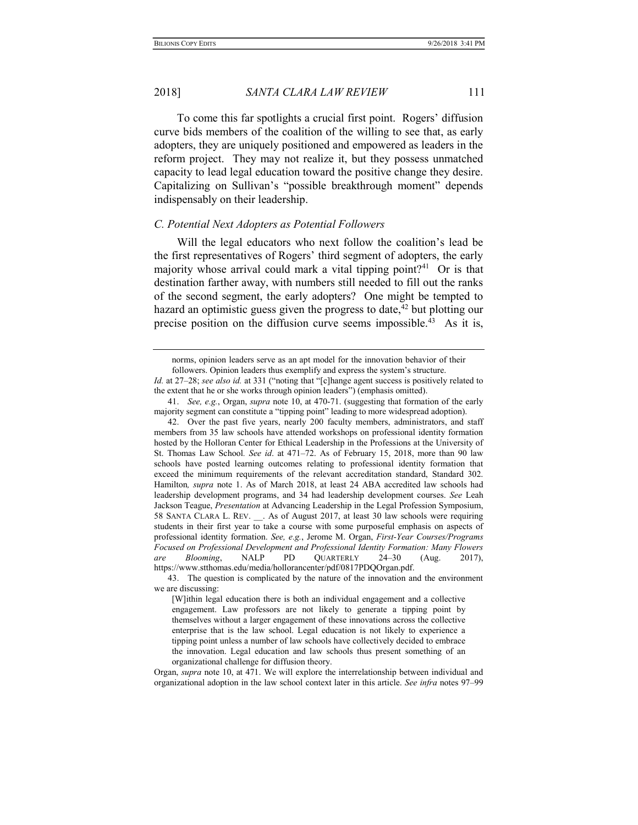To come this far spotlights a crucial first point. Rogers' diffusion curve bids members of the coalition of the willing to see that, as early adopters, they are uniquely positioned and empowered as leaders in the reform project. They may not realize it, but they possess unmatched capacity to lead legal education toward the positive change they desire. Capitalizing on Sullivan's "possible breakthrough moment" depends indispensably on their leadership.

#### C. Potential Next Adopters as Potential Followers

Will the legal educators who next follow the coalition's lead be the first representatives of Rogers' third segment of adopters, the early majority whose arrival could mark a vital tipping point?<sup>41</sup> Or is that destination farther away, with numbers still needed to fill out the ranks of the second segment, the early adopters? One might be tempted to hazard an optimistic guess given the progress to date, $42$  but plotting our precise position on the diffusion curve seems impossible.<sup>43</sup> As it is,

Organ, supra note 10, at 471. We will explore the interrelationship between individual and organizational adoption in the law school context later in this article. See infra notes 97–99

norms, opinion leaders serve as an apt model for the innovation behavior of their followers. Opinion leaders thus exemplify and express the system's structure.

Id. at 27–28; see also id. at 331 ("noting that "[c]hange agent success is positively related to the extent that he or she works through opinion leaders") (emphasis omitted).

<sup>41.</sup> See, e.g., Organ, supra note 10, at 470-71. (suggesting that formation of the early majority segment can constitute a "tipping point" leading to more widespread adoption).

 <sup>42.</sup> Over the past five years, nearly 200 faculty members, administrators, and staff members from 35 law schools have attended workshops on professional identity formation hosted by the Holloran Center for Ethical Leadership in the Professions at the University of St. Thomas Law School. See id. at 471–72. As of February 15, 2018, more than 90 law schools have posted learning outcomes relating to professional identity formation that exceed the minimum requirements of the relevant accreditation standard, Standard 302. Hamilton, supra note 1. As of March 2018, at least 24 ABA accredited law schools had leadership development programs, and 34 had leadership development courses. See Leah Jackson Teague, Presentation at Advancing Leadership in the Legal Profession Symposium, 58 SANTA CLARA L. REV. \_\_. As of August 2017, at least 30 law schools were requiring students in their first year to take a course with some purposeful emphasis on aspects of professional identity formation. See, e.g., Jerome M. Organ, First-Year Courses/Programs Focused on Professional Development and Professional Identity Formation: Many Flowers are Blooming, NALP PD QUARTERLY 24–30 (Aug. 2017), https://www.stthomas.edu/media/hollorancenter/pdf/0817PDQOrgan.pdf.

 <sup>43.</sup> The question is complicated by the nature of the innovation and the environment we are discussing:

<sup>[</sup>W]ithin legal education there is both an individual engagement and a collective engagement. Law professors are not likely to generate a tipping point by themselves without a larger engagement of these innovations across the collective enterprise that is the law school. Legal education is not likely to experience a tipping point unless a number of law schools have collectively decided to embrace the innovation. Legal education and law schools thus present something of an organizational challenge for diffusion theory.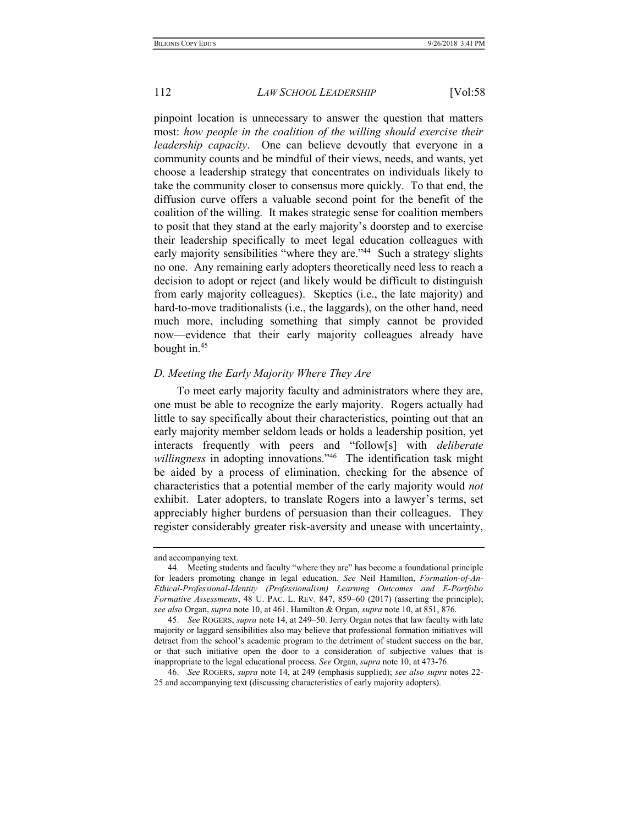pinpoint location is unnecessary to answer the question that matters most: how people in the coalition of the willing should exercise their *leadership capacity*. One can believe devoutly that everyone in a community counts and be mindful of their views, needs, and wants, yet choose a leadership strategy that concentrates on individuals likely to take the community closer to consensus more quickly. To that end, the diffusion curve offers a valuable second point for the benefit of the coalition of the willing. It makes strategic sense for coalition members to posit that they stand at the early majority's doorstep and to exercise their leadership specifically to meet legal education colleagues with early majority sensibilities "where they are."<sup>44</sup> Such a strategy slights no one. Any remaining early adopters theoretically need less to reach a decision to adopt or reject (and likely would be difficult to distinguish from early majority colleagues). Skeptics (i.e., the late majority) and hard-to-move traditionalists (i.e., the laggards), on the other hand, need much more, including something that simply cannot be provided now—evidence that their early majority colleagues already have bought in.<sup>45</sup>

#### D. Meeting the Early Majority Where They Are

To meet early majority faculty and administrators where they are, one must be able to recognize the early majority. Rogers actually had little to say specifically about their characteristics, pointing out that an early majority member seldom leads or holds a leadership position, yet interacts frequently with peers and "follow[s] with deliberate willingness in adopting innovations."<sup>46</sup> The identification task might be aided by a process of elimination, checking for the absence of characteristics that a potential member of the early majority would not exhibit. Later adopters, to translate Rogers into a lawyer's terms, set appreciably higher burdens of persuasion than their colleagues. They register considerably greater risk-aversity and unease with uncertainty,

and accompanying text.

 <sup>44.</sup> Meeting students and faculty "where they are" has become a foundational principle for leaders promoting change in legal education. See Neil Hamilton, Formation-of-An-Ethical-Professional-Identity (Professionalism) Learning Outcomes and E-Portfolio Formative Assessments, 48 U. PAC. L. REV. 847, 859–60 (2017) (asserting the principle); see also Organ, supra note 10, at 461. Hamilton & Organ, supra note 10, at 851, 876.

 <sup>45.</sup> See ROGERS, supra note 14, at 249–50. Jerry Organ notes that law faculty with late majority or laggard sensibilities also may believe that professional formation initiatives will detract from the school's academic program to the detriment of student success on the bar, or that such initiative open the door to a consideration of subjective values that is inappropriate to the legal educational process. See Organ, supra note 10, at 473-76.

 <sup>46.</sup> See ROGERS, supra note 14, at 249 (emphasis supplied); see also supra notes 22- 25 and accompanying text (discussing characteristics of early majority adopters).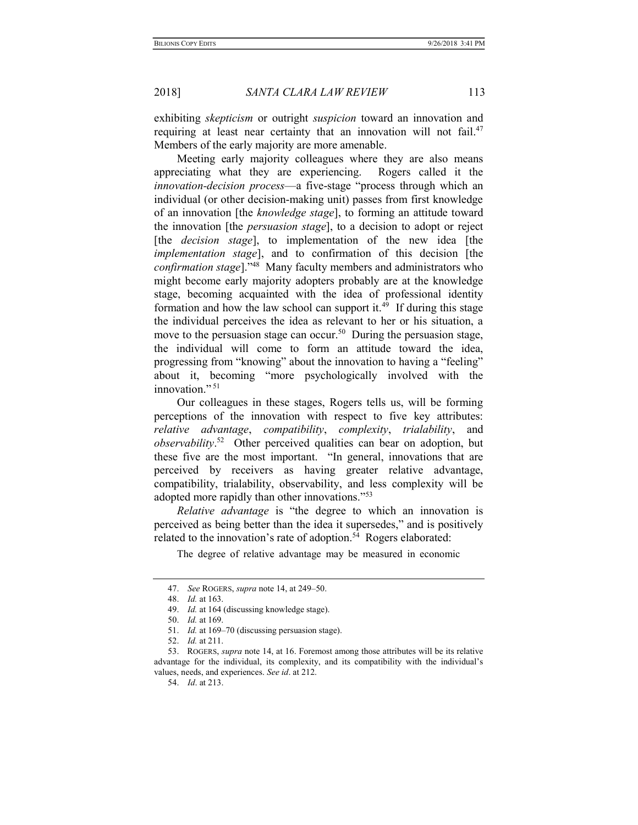exhibiting skepticism or outright suspicion toward an innovation and requiring at least near certainty that an innovation will not fail.<sup>47</sup> Members of the early majority are more amenable.

Meeting early majority colleagues where they are also means appreciating what they are experiencing. Rogers called it the innovation-decision process—a five-stage "process through which an individual (or other decision-making unit) passes from first knowledge of an innovation [the knowledge stage], to forming an attitude toward the innovation [the persuasion stage], to a decision to adopt or reject [the *decision stage*], to implementation of the new idea [the implementation stage], and to confirmation of this decision [the confirmation stage]."<sup>48</sup> Many faculty members and administrators who might become early majority adopters probably are at the knowledge stage, becoming acquainted with the idea of professional identity formation and how the law school can support it.<sup>49</sup> If during this stage the individual perceives the idea as relevant to her or his situation, a move to the persuasion stage can occur.<sup>50</sup> During the persuasion stage, the individual will come to form an attitude toward the idea, progressing from "knowing" about the innovation to having a "feeling" about it, becoming "more psychologically involved with the innovation."<sup>51</sup>

Our colleagues in these stages, Rogers tells us, will be forming perceptions of the innovation with respect to five key attributes: relative advantage, compatibility, complexity, trialability, and observability.<sup>52</sup> Other perceived qualities can bear on adoption, but these five are the most important. "In general, innovations that are perceived by receivers as having greater relative advantage, compatibility, trialability, observability, and less complexity will be adopted more rapidly than other innovations."<sup>53</sup>

Relative advantage is "the degree to which an innovation is perceived as being better than the idea it supersedes," and is positively related to the innovation's rate of adoption.<sup>54</sup> Rogers elaborated:

The degree of relative advantage may be measured in economic

<sup>47.</sup> See ROGERS, supra note 14, at 249-50.

 <sup>48.</sup> Id. at 163.

<sup>49.</sup> Id. at 164 (discussing knowledge stage).

 <sup>50.</sup> Id. at 169.

<sup>51.</sup> *Id.* at 169–70 (discussing persuasion stage).

 <sup>52.</sup> Id. at 211.

<sup>53.</sup> ROGERS, *supra* note 14, at 16. Foremost among those attributes will be its relative advantage for the individual, its complexity, and its compatibility with the individual's values, needs, and experiences. See id. at 212.

 <sup>54.</sup> Id. at 213.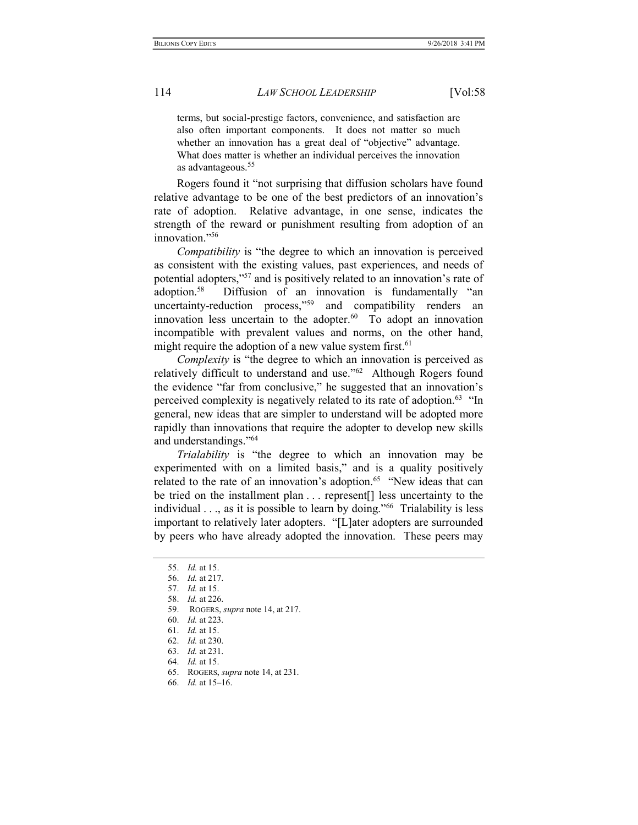terms, but social-prestige factors, convenience, and satisfaction are also often important components. It does not matter so much whether an innovation has a great deal of "objective" advantage. What does matter is whether an individual perceives the innovation as advantageous.<sup>55</sup>

Rogers found it "not surprising that diffusion scholars have found relative advantage to be one of the best predictors of an innovation's rate of adoption. Relative advantage, in one sense, indicates the strength of the reward or punishment resulting from adoption of an innovation."<sup>56</sup>

Compatibility is "the degree to which an innovation is perceived as consistent with the existing values, past experiences, and needs of potential adopters,"<sup>57</sup> and is positively related to an innovation's rate of adoption.<sup>58</sup> Diffusion of an innovation is fundamentally "an uncertainty-reduction process,"<sup>59</sup> and compatibility renders an innovation less uncertain to the adopter. $60$  To adopt an innovation incompatible with prevalent values and norms, on the other hand, might require the adoption of a new value system first.<sup>61</sup>

Complexity is "the degree to which an innovation is perceived as relatively difficult to understand and use."<sup>62</sup> Although Rogers found the evidence "far from conclusive," he suggested that an innovation's perceived complexity is negatively related to its rate of adoption.<sup>63</sup> "In general, new ideas that are simpler to understand will be adopted more rapidly than innovations that require the adopter to develop new skills and understandings."<sup>64</sup>

Trialability is "the degree to which an innovation may be experimented with on a limited basis," and is a quality positively related to the rate of an innovation's adoption.<sup>65</sup> "New ideas that can be tried on the installment plan . . . represent[] less uncertainty to the individual  $\ldots$ , as it is possible to learn by doing.<sup>"66</sup> Trialability is less important to relatively later adopters. "[L]ater adopters are surrounded by peers who have already adopted the innovation. These peers may

62. Id. at 230.

64. Id. at 15.

 <sup>55.</sup> Id. at 15.

 <sup>56.</sup> Id. at 217.

 <sup>57.</sup> Id. at 15.

 <sup>58.</sup> Id. at 226.

 <sup>59.</sup> ROGERS, supra note 14, at 217.

 <sup>60.</sup> Id. at 223.

 <sup>61.</sup> Id. at 15.

 <sup>63.</sup> Id. at 231.

 <sup>65.</sup> ROGERS, supra note 14, at 231.

 <sup>66.</sup> Id. at 15–16.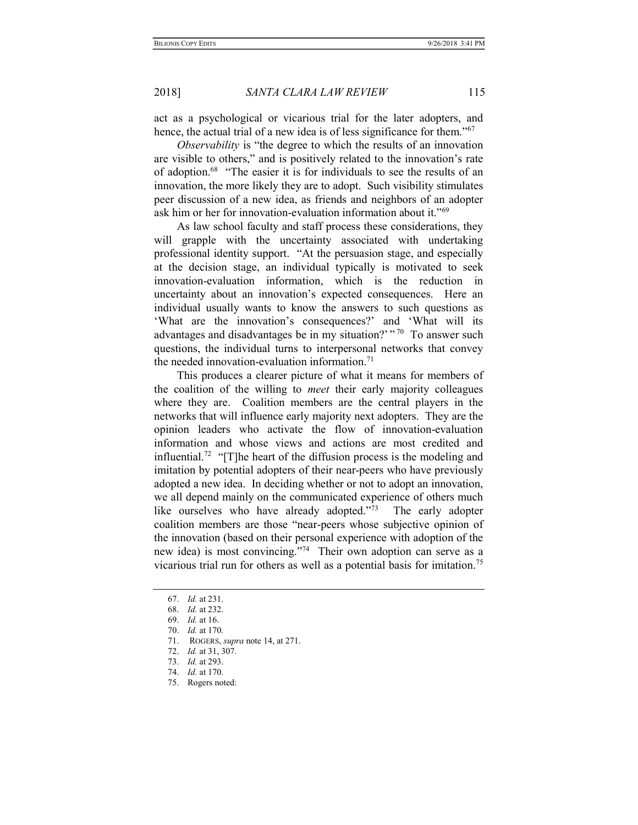act as a psychological or vicarious trial for the later adopters, and hence, the actual trial of a new idea is of less significance for them."<sup>67</sup>

Observability is "the degree to which the results of an innovation are visible to others," and is positively related to the innovation's rate of adoption.<sup>68</sup> "The easier it is for individuals to see the results of an innovation, the more likely they are to adopt. Such visibility stimulates peer discussion of a new idea, as friends and neighbors of an adopter ask him or her for innovation-evaluation information about it."<sup>69</sup>

As law school faculty and staff process these considerations, they will grapple with the uncertainty associated with undertaking professional identity support. "At the persuasion stage, and especially at the decision stage, an individual typically is motivated to seek innovation-evaluation information, which is the reduction in uncertainty about an innovation's expected consequences. Here an individual usually wants to know the answers to such questions as 'What are the innovation's consequences?' and 'What will its advantages and disadvantages be in my situation?'  $\cdot$ <sup>70</sup> To answer such questions, the individual turns to interpersonal networks that convey the needed innovation-evaluation information. $71$ 

This produces a clearer picture of what it means for members of the coalition of the willing to meet their early majority colleagues where they are. Coalition members are the central players in the networks that will influence early majority next adopters. They are the opinion leaders who activate the flow of innovation-evaluation information and whose views and actions are most credited and influential.<sup>72</sup> "[T]he heart of the diffusion process is the modeling and imitation by potential adopters of their near-peers who have previously adopted a new idea. In deciding whether or not to adopt an innovation, we all depend mainly on the communicated experience of others much like ourselves who have already adopted."<sup>73</sup> The early adopter coalition members are those "near-peers whose subjective opinion of the innovation (based on their personal experience with adoption of the new idea) is most convincing."<sup>74</sup> Their own adoption can serve as a vicarious trial run for others as well as a potential basis for imitation.<sup>75</sup>

 <sup>67.</sup> Id. at 231.

 <sup>68.</sup> Id. at 232.

 <sup>69.</sup> Id. at 16.

 <sup>70.</sup> Id. at 170.

<sup>71.</sup> ROGERS, *supra* note 14, at 271.

 <sup>72.</sup> Id. at 31, 307.

 <sup>73.</sup> Id. at 293.

 <sup>74.</sup> Id. at 170.

 <sup>75.</sup> Rogers noted: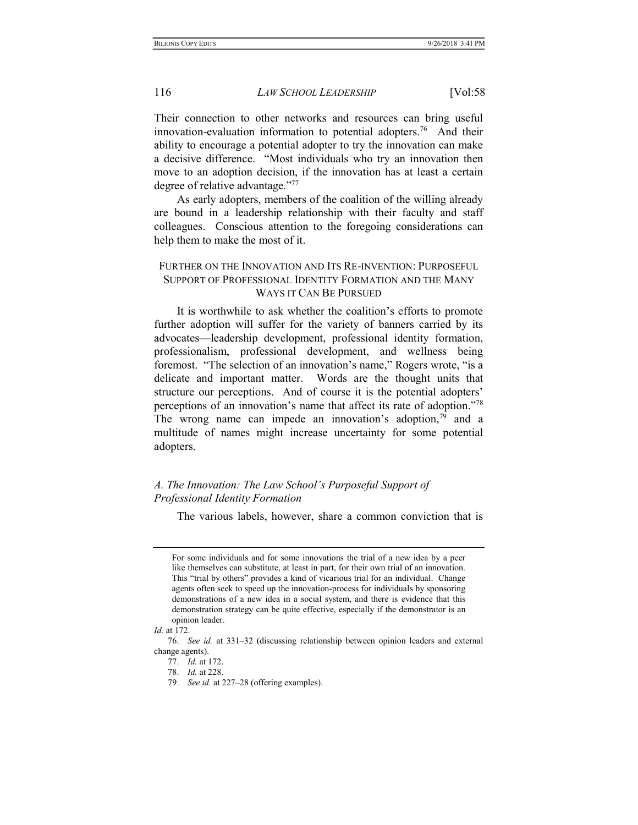Their connection to other networks and resources can bring useful innovation-evaluation information to potential adopters.<sup>76</sup> And their ability to encourage a potential adopter to try the innovation can make a decisive difference. "Most individuals who try an innovation then move to an adoption decision, if the innovation has at least a certain degree of relative advantage."<sup>77</sup>

As early adopters, members of the coalition of the willing already are bound in a leadership relationship with their faculty and staff colleagues. Conscious attention to the foregoing considerations can help them to make the most of it.

## FURTHER ON THE INNOVATION AND ITS RE-INVENTION: PURPOSEFUL SUPPORT OF PROFESSIONAL IDENTITY FORMATION AND THE MANY WAYS IT CAN BE PURSUED

It is worthwhile to ask whether the coalition's efforts to promote further adoption will suffer for the variety of banners carried by its advocates—leadership development, professional identity formation, professionalism, professional development, and wellness being foremost. "The selection of an innovation's name," Rogers wrote, "is a delicate and important matter. Words are the thought units that structure our perceptions. And of course it is the potential adopters' perceptions of an innovation's name that affect its rate of adoption."<sup>78</sup> The wrong name can impede an innovation's adoption,  $79$  and a multitude of names might increase uncertainty for some potential adopters.

# A. The Innovation: The Law School's Purposeful Support of Professional Identity Formation

The various labels, however, share a common conviction that is

For some individuals and for some innovations the trial of a new idea by a peer like themselves can substitute, at least in part, for their own trial of an innovation. This "trial by others" provides a kind of vicarious trial for an individual. Change agents often seek to speed up the innovation-process for individuals by sponsoring demonstrations of a new idea in a social system, and there is evidence that this demonstration strategy can be quite effective, especially if the demonstrator is an opinion leader.

Id. at 172.

 <sup>76.</sup> See id. at 331–32 (discussing relationship between opinion leaders and external change agents).

 <sup>77.</sup> Id. at 172.

 <sup>78.</sup> Id. at 228.

<sup>79.</sup> See id. at 227–28 (offering examples).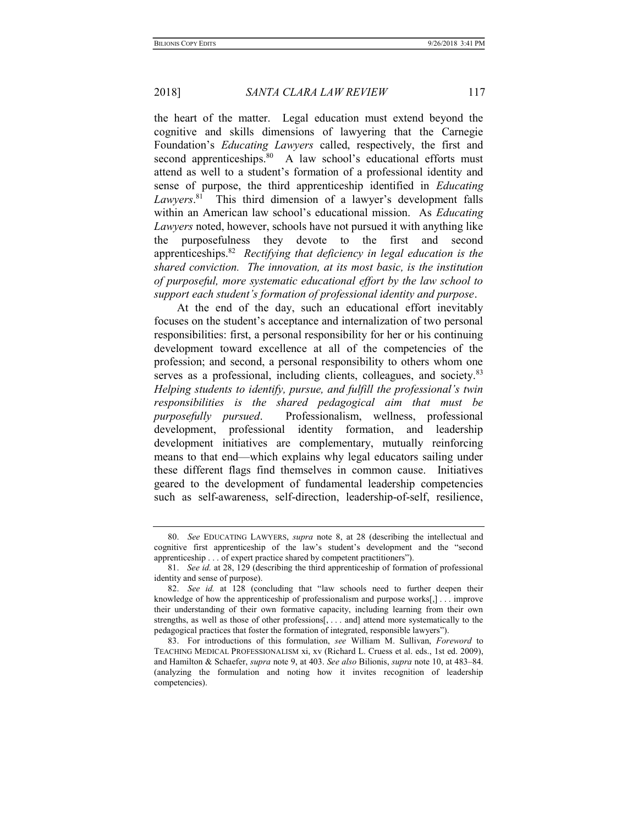the heart of the matter. Legal education must extend beyond the cognitive and skills dimensions of lawyering that the Carnegie Foundation's Educating Lawyers called, respectively, the first and second apprenticeships.<sup>80</sup> A law school's educational efforts must attend as well to a student's formation of a professional identity and sense of purpose, the third apprenticeship identified in Educating Lawyers.<sup>81</sup> This third dimension of a lawyer's development falls within an American law school's educational mission. As *Educating* Lawyers noted, however, schools have not pursued it with anything like the purposefulness they devote to the first and second apprenticeships.<sup>82</sup> Rectifying that deficiency in legal education is the shared conviction. The innovation, at its most basic, is the institution of purposeful, more systematic educational effort by the law school to support each student's formation of professional identity and purpose.

At the end of the day, such an educational effort inevitably focuses on the student's acceptance and internalization of two personal responsibilities: first, a personal responsibility for her or his continuing development toward excellence at all of the competencies of the profession; and second, a personal responsibility to others whom one serves as a professional, including clients, colleagues, and society.<sup>83</sup> Helping students to identify, pursue, and fulfill the professional's twin responsibilities is the shared pedagogical aim that must be purposefully pursued. Professionalism, wellness, professional development, professional identity formation, and leadership development initiatives are complementary, mutually reinforcing means to that end—which explains why legal educators sailing under these different flags find themselves in common cause. Initiatives geared to the development of fundamental leadership competencies such as self-awareness, self-direction, leadership-of-self, resilience,

 <sup>80.</sup> See EDUCATING LAWYERS, supra note 8, at 28 (describing the intellectual and cognitive first apprenticeship of the law's student's development and the "second apprenticeship . . . of expert practice shared by competent practitioners").

 <sup>81.</sup> See id. at 28, 129 (describing the third apprenticeship of formation of professional identity and sense of purpose).

 <sup>82.</sup> See id. at 128 (concluding that "law schools need to further deepen their knowledge of how the apprenticeship of professionalism and purpose works[,] . . . improve their understanding of their own formative capacity, including learning from their own strengths, as well as those of other professions[, . . . and] attend more systematically to the pedagogical practices that foster the formation of integrated, responsible lawyers").

 <sup>83.</sup> For introductions of this formulation, see William M. Sullivan, Foreword to TEACHING MEDICAL PROFESSIONALISM xi, xv (Richard L. Cruess et al. eds., 1st ed. 2009), and Hamilton & Schaefer, supra note 9, at 403. See also Bilionis, supra note 10, at 483–84. (analyzing the formulation and noting how it invites recognition of leadership competencies).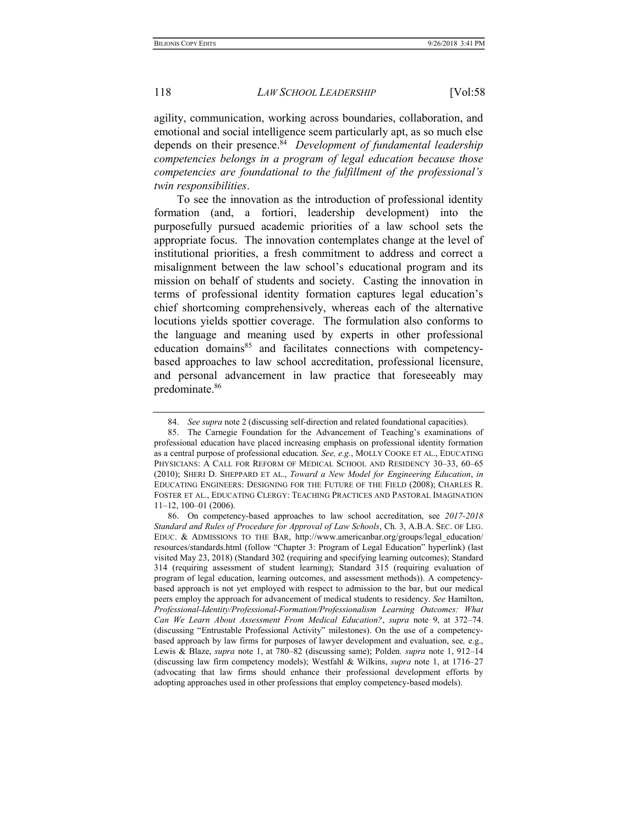agility, communication, working across boundaries, collaboration, and emotional and social intelligence seem particularly apt, as so much else depends on their presence.<sup>84</sup> Development of fundamental leadership competencies belongs in a program of legal education because those competencies are foundational to the fulfillment of the professional's twin responsibilities.

To see the innovation as the introduction of professional identity formation (and, a fortiori, leadership development) into the purposefully pursued academic priorities of a law school sets the appropriate focus. The innovation contemplates change at the level of institutional priorities, a fresh commitment to address and correct a misalignment between the law school's educational program and its mission on behalf of students and society. Casting the innovation in terms of professional identity formation captures legal education's chief shortcoming comprehensively, whereas each of the alternative locutions yields spottier coverage. The formulation also conforms to the language and meaning used by experts in other professional education domains<sup>85</sup> and facilitates connections with competencybased approaches to law school accreditation, professional licensure, and personal advancement in law practice that foreseeably may predominate.<sup>86</sup>

<sup>84.</sup> See supra note 2 (discussing self-direction and related foundational capacities).

 <sup>85.</sup> The Carnegie Foundation for the Advancement of Teaching's examinations of professional education have placed increasing emphasis on professional identity formation as a central purpose of professional education. See, e.g., MOLLY COOKE ET AL., EDUCATING PHYSICIANS: A CALL FOR REFORM OF MEDICAL SCHOOL AND RESIDENCY 30–33, 60–65 (2010); SHERI D. SHEPPARD ET AL., Toward a New Model for Engineering Education, in EDUCATING ENGINEERS: DESIGNING FOR THE FUTURE OF THE FIELD (2008); CHARLES R. FOSTER ET AL., EDUCATING CLERGY: TEACHING PRACTICES AND PASTORAL IMAGINATION 11–12, 100–01 (2006).

 <sup>86.</sup> On competency-based approaches to law school accreditation, see 2017-2018 Standard and Rules of Procedure for Approval of Law Schools, Ch. 3, A.B.A. SEC. OF LEG. EDUC. & ADMISSIONS TO THE BAR, http://www.americanbar.org/groups/legal\_education/ resources/standards.html (follow "Chapter 3: Program of Legal Education" hyperlink) (last visited May 23, 2018) (Standard 302 (requiring and specifying learning outcomes); Standard 314 (requiring assessment of student learning); Standard 315 (requiring evaluation of program of legal education, learning outcomes, and assessment methods)). A competencybased approach is not yet employed with respect to admission to the bar, but our medical peers employ the approach for advancement of medical students to residency. See Hamilton, Professional-Identity/Professional-Formation/Professionalism Learning Outcomes: What Can We Learn About Assessment From Medical Education?, supra note 9, at 372–74. (discussing "Entrustable Professional Activity" milestones). On the use of a competencybased approach by law firms for purposes of lawyer development and evaluation, see, e.g., Lewis & Blaze, supra note 1, at 780–82 (discussing same); Polden. supra note 1, 912–14 (discussing law firm competency models); Westfahl & Wilkins, supra note 1, at 1716–27 (advocating that law firms should enhance their professional development efforts by adopting approaches used in other professions that employ competency-based models).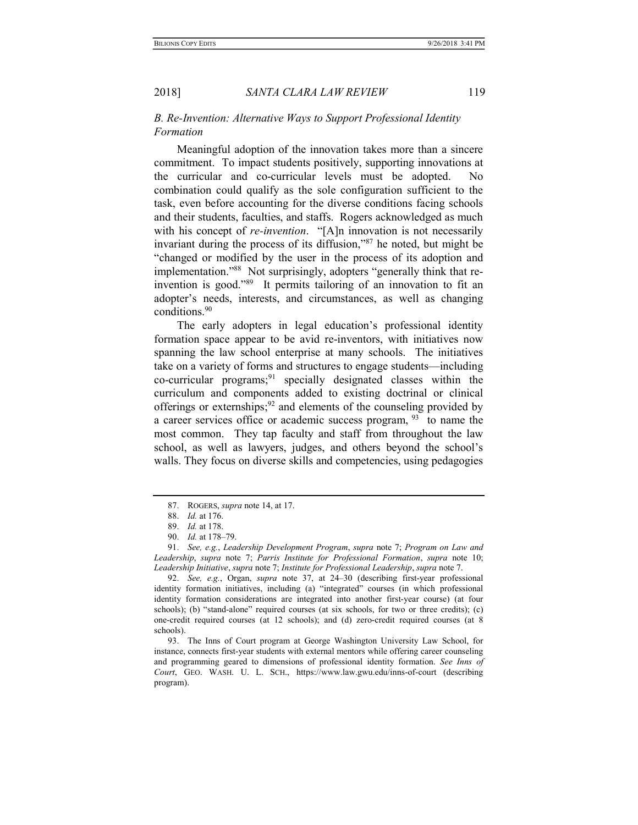## B. Re-Invention: Alternative Ways to Support Professional Identity Formation

Meaningful adoption of the innovation takes more than a sincere commitment. To impact students positively, supporting innovations at the curricular and co-curricular levels must be adopted. No combination could qualify as the sole configuration sufficient to the task, even before accounting for the diverse conditions facing schools and their students, faculties, and staffs. Rogers acknowledged as much with his concept of *re-invention*. "[A]n innovation is not necessarily invariant during the process of its diffusion,"<sup>87</sup> he noted, but might be "changed or modified by the user in the process of its adoption and implementation."88 Not surprisingly, adopters "generally think that reinvention is good."<sup>89</sup> It permits tailoring of an innovation to fit an adopter's needs, interests, and circumstances, as well as changing conditions.<sup>90</sup>

The early adopters in legal education's professional identity formation space appear to be avid re-inventors, with initiatives now spanning the law school enterprise at many schools. The initiatives take on a variety of forms and structures to engage students—including co-curricular programs;<sup>91</sup> specially designated classes within the curriculum and components added to existing doctrinal or clinical offerings or externships;<sup>92</sup> and elements of the counseling provided by a career services office or academic success program,  $93$  to name the most common. They tap faculty and staff from throughout the law school, as well as lawyers, judges, and others beyond the school's walls. They focus on diverse skills and competencies, using pedagogies

 <sup>87.</sup> ROGERS, supra note 14, at 17.

 <sup>88.</sup> Id. at 176.

 <sup>89.</sup> Id. at 178.

 <sup>90.</sup> Id. at 178–79.

 <sup>91.</sup> See, e.g., Leadership Development Program, supra note 7; Program on Law and Leadership, supra note 7; Parris Institute for Professional Formation, supra note 10; Leadership Initiative, supra note 7; Institute for Professional Leadership, supra note 7.

 <sup>92.</sup> See, e.g., Organ, supra note 37, at 24–30 (describing first-year professional identity formation initiatives, including (a) "integrated" courses (in which professional identity formation considerations are integrated into another first-year course) (at four schools); (b) "stand-alone" required courses (at six schools, for two or three credits); (c) one-credit required courses (at 12 schools); and (d) zero-credit required courses (at 8 schools).

 <sup>93.</sup> The Inns of Court program at George Washington University Law School, for instance, connects first-year students with external mentors while offering career counseling and programming geared to dimensions of professional identity formation. See Inns of Court, GEO. WASH. U. L. SCH., https://www.law.gwu.edu/inns-of-court (describing program).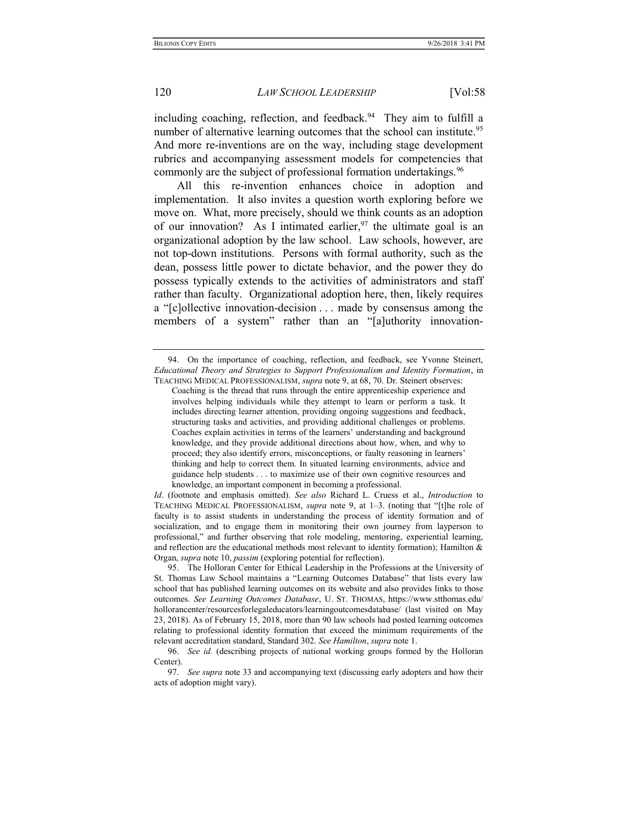including coaching, reflection, and feedback.<sup>94</sup> They aim to fulfill a number of alternative learning outcomes that the school can institute.<sup>95</sup> And more re-inventions are on the way, including stage development rubrics and accompanying assessment models for competencies that commonly are the subject of professional formation undertakings.<sup>96</sup>

All this re-invention enhances choice in adoption and implementation. It also invites a question worth exploring before we move on. What, more precisely, should we think counts as an adoption of our innovation? As I intimated earlier,  $97$  the ultimate goal is an organizational adoption by the law school. Law schools, however, are not top-down institutions. Persons with formal authority, such as the dean, possess little power to dictate behavior, and the power they do possess typically extends to the activities of administrators and staff rather than faculty. Organizational adoption here, then, likely requires a "[c]ollective innovation-decision . . . made by consensus among the members of a system" rather than an "[a]uthority innovation-

Id. (footnote and emphasis omitted). See also Richard L. Cruess et al., *Introduction* to TEACHING MEDICAL PROFESSIONALISM, supra note 9, at 1–3. (noting that "[t]he role of faculty is to assist students in understanding the process of identity formation and of socialization, and to engage them in monitoring their own journey from layperson to professional," and further observing that role modeling, mentoring, experiential learning, and reflection are the educational methods most relevant to identity formation); Hamilton & Organ, supra note 10, passim (exploring potential for reflection).

 <sup>94.</sup> On the importance of coaching, reflection, and feedback, see Yvonne Steinert, Educational Theory and Strategies to Support Professionalism and Identity Formation, in TEACHING MEDICAL PROFESSIONALISM, supra note 9, at 68, 70. Dr. Steinert observes:

Coaching is the thread that runs through the entire apprenticeship experience and involves helping individuals while they attempt to learn or perform a task. It includes directing learner attention, providing ongoing suggestions and feedback, structuring tasks and activities, and providing additional challenges or problems. Coaches explain activities in terms of the learners' understanding and background knowledge, and they provide additional directions about how, when, and why to proceed; they also identify errors, misconceptions, or faulty reasoning in learners' thinking and help to correct them. In situated learning environments, advice and guidance help students . . . to maximize use of their own cognitive resources and knowledge, an important component in becoming a professional.

 <sup>95.</sup> The Holloran Center for Ethical Leadership in the Professions at the University of St. Thomas Law School maintains a "Learning Outcomes Database" that lists every law school that has published learning outcomes on its website and also provides links to those outcomes. See Learning Outcomes Database, U. ST. THOMAS, https://www.stthomas.edu/ hollorancenter/resourcesforlegaleducators/learningoutcomesdatabase/ (last visited on May 23, 2018). As of February 15, 2018, more than 90 law schools had posted learning outcomes relating to professional identity formation that exceed the minimum requirements of the relevant accreditation standard, Standard 302. See Hamilton, supra note 1.

 <sup>96.</sup> See id. (describing projects of national working groups formed by the Holloran Center).

 <sup>97.</sup> See supra note 33 and accompanying text (discussing early adopters and how their acts of adoption might vary).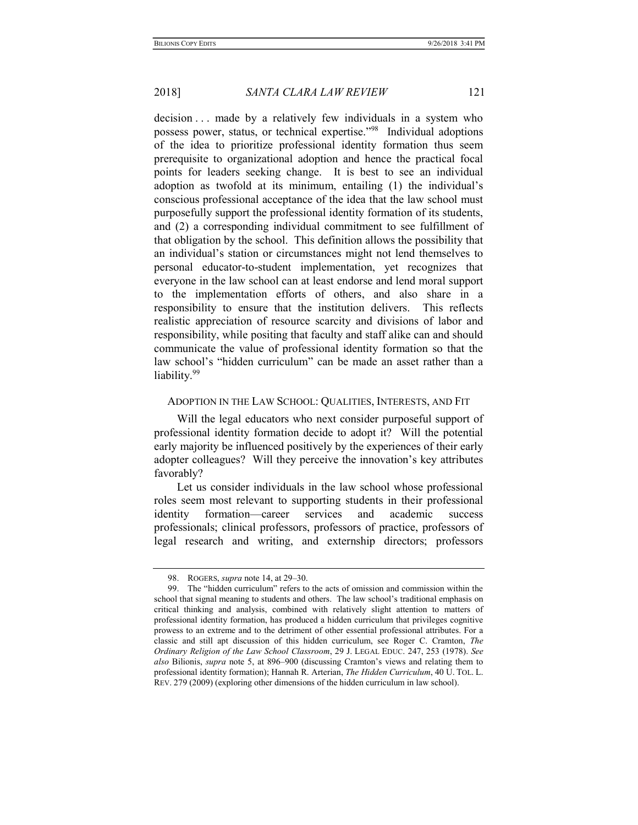decision . . . made by a relatively few individuals in a system who possess power, status, or technical expertise."<sup>98</sup> Individual adoptions of the idea to prioritize professional identity formation thus seem prerequisite to organizational adoption and hence the practical focal points for leaders seeking change. It is best to see an individual adoption as twofold at its minimum, entailing (1) the individual's conscious professional acceptance of the idea that the law school must purposefully support the professional identity formation of its students, and (2) a corresponding individual commitment to see fulfillment of that obligation by the school. This definition allows the possibility that an individual's station or circumstances might not lend themselves to personal educator-to-student implementation, yet recognizes that everyone in the law school can at least endorse and lend moral support to the implementation efforts of others, and also share in a responsibility to ensure that the institution delivers. This reflects realistic appreciation of resource scarcity and divisions of labor and responsibility, while positing that faculty and staff alike can and should communicate the value of professional identity formation so that the law school's "hidden curriculum" can be made an asset rather than a liability.<sup>99</sup>

## ADOPTION IN THE LAW SCHOOL: QUALITIES, INTERESTS, AND FIT

Will the legal educators who next consider purposeful support of professional identity formation decide to adopt it? Will the potential early majority be influenced positively by the experiences of their early adopter colleagues? Will they perceive the innovation's key attributes favorably?

Let us consider individuals in the law school whose professional roles seem most relevant to supporting students in their professional identity formation—career services and academic success professionals; clinical professors, professors of practice, professors of legal research and writing, and externship directors; professors

<sup>98.</sup> ROGERS, *supra* note 14, at 29–30.

 <sup>99.</sup> The "hidden curriculum" refers to the acts of omission and commission within the school that signal meaning to students and others. The law school's traditional emphasis on critical thinking and analysis, combined with relatively slight attention to matters of professional identity formation, has produced a hidden curriculum that privileges cognitive prowess to an extreme and to the detriment of other essential professional attributes. For a classic and still apt discussion of this hidden curriculum, see Roger C. Cramton, The Ordinary Religion of the Law School Classroom, 29 J. LEGAL EDUC. 247, 253 (1978). See also Bilionis, supra note 5, at 896–900 (discussing Cramton's views and relating them to professional identity formation); Hannah R. Arterian, The Hidden Curriculum, 40 U. TOL. L. REV. 279 (2009) (exploring other dimensions of the hidden curriculum in law school).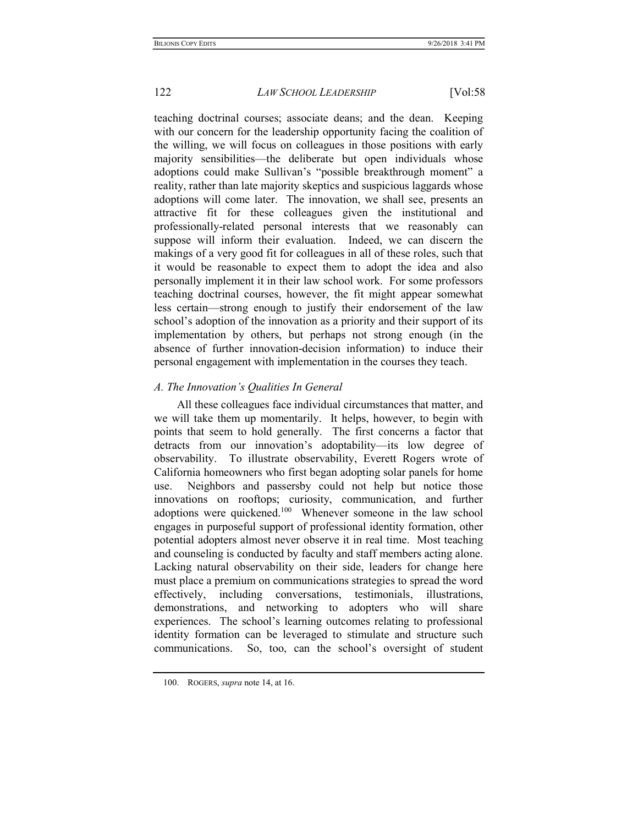teaching doctrinal courses; associate deans; and the dean. Keeping with our concern for the leadership opportunity facing the coalition of the willing, we will focus on colleagues in those positions with early majority sensibilities—the deliberate but open individuals whose adoptions could make Sullivan's "possible breakthrough moment" a reality, rather than late majority skeptics and suspicious laggards whose adoptions will come later. The innovation, we shall see, presents an attractive fit for these colleagues given the institutional and professionally-related personal interests that we reasonably can suppose will inform their evaluation. Indeed, we can discern the makings of a very good fit for colleagues in all of these roles, such that it would be reasonable to expect them to adopt the idea and also personally implement it in their law school work. For some professors teaching doctrinal courses, however, the fit might appear somewhat less certain—strong enough to justify their endorsement of the law school's adoption of the innovation as a priority and their support of its implementation by others, but perhaps not strong enough (in the absence of further innovation-decision information) to induce their personal engagement with implementation in the courses they teach.

## A. The Innovation's Qualities In General

All these colleagues face individual circumstances that matter, and we will take them up momentarily. It helps, however, to begin with points that seem to hold generally. The first concerns a factor that detracts from our innovation's adoptability—its low degree of observability. To illustrate observability, Everett Rogers wrote of California homeowners who first began adopting solar panels for home use. Neighbors and passersby could not help but notice those innovations on rooftops; curiosity, communication, and further adoptions were quickened.<sup>100</sup> Whenever someone in the law school engages in purposeful support of professional identity formation, other potential adopters almost never observe it in real time. Most teaching and counseling is conducted by faculty and staff members acting alone. Lacking natural observability on their side, leaders for change here must place a premium on communications strategies to spread the word effectively, including conversations, testimonials, illustrations, demonstrations, and networking to adopters who will share experiences. The school's learning outcomes relating to professional identity formation can be leveraged to stimulate and structure such communications. So, too, can the school's oversight of student

<sup>100.</sup> ROGERS, *supra* note 14, at 16.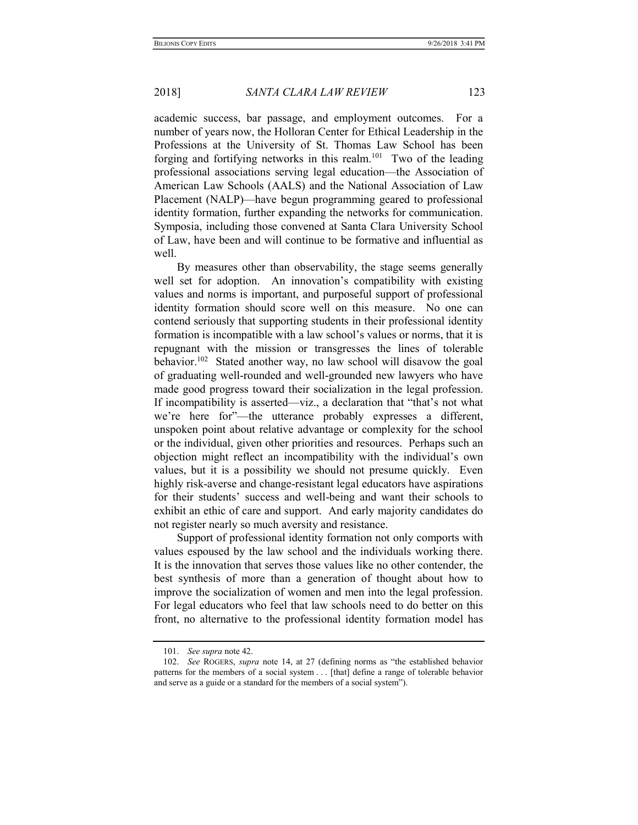academic success, bar passage, and employment outcomes. For a number of years now, the Holloran Center for Ethical Leadership in the Professions at the University of St. Thomas Law School has been forging and fortifying networks in this realm.<sup>101</sup> Two of the leading professional associations serving legal education—the Association of American Law Schools (AALS) and the National Association of Law Placement (NALP)—have begun programming geared to professional identity formation, further expanding the networks for communication. Symposia, including those convened at Santa Clara University School of Law, have been and will continue to be formative and influential as well.

By measures other than observability, the stage seems generally well set for adoption. An innovation's compatibility with existing values and norms is important, and purposeful support of professional identity formation should score well on this measure. No one can contend seriously that supporting students in their professional identity formation is incompatible with a law school's values or norms, that it is repugnant with the mission or transgresses the lines of tolerable behavior.<sup>102</sup> Stated another way, no law school will disavow the goal of graduating well-rounded and well-grounded new lawyers who have made good progress toward their socialization in the legal profession. If incompatibility is asserted—viz., a declaration that "that's not what we're here for"—the utterance probably expresses a different, unspoken point about relative advantage or complexity for the school or the individual, given other priorities and resources. Perhaps such an objection might reflect an incompatibility with the individual's own values, but it is a possibility we should not presume quickly. Even highly risk-averse and change-resistant legal educators have aspirations for their students' success and well-being and want their schools to exhibit an ethic of care and support. And early majority candidates do not register nearly so much aversity and resistance.

Support of professional identity formation not only comports with values espoused by the law school and the individuals working there. It is the innovation that serves those values like no other contender, the best synthesis of more than a generation of thought about how to improve the socialization of women and men into the legal profession. For legal educators who feel that law schools need to do better on this front, no alternative to the professional identity formation model has

 <sup>101.</sup> See supra note 42.

 <sup>102.</sup> See ROGERS, supra note 14, at 27 (defining norms as "the established behavior patterns for the members of a social system . . . [that] define a range of tolerable behavior and serve as a guide or a standard for the members of a social system").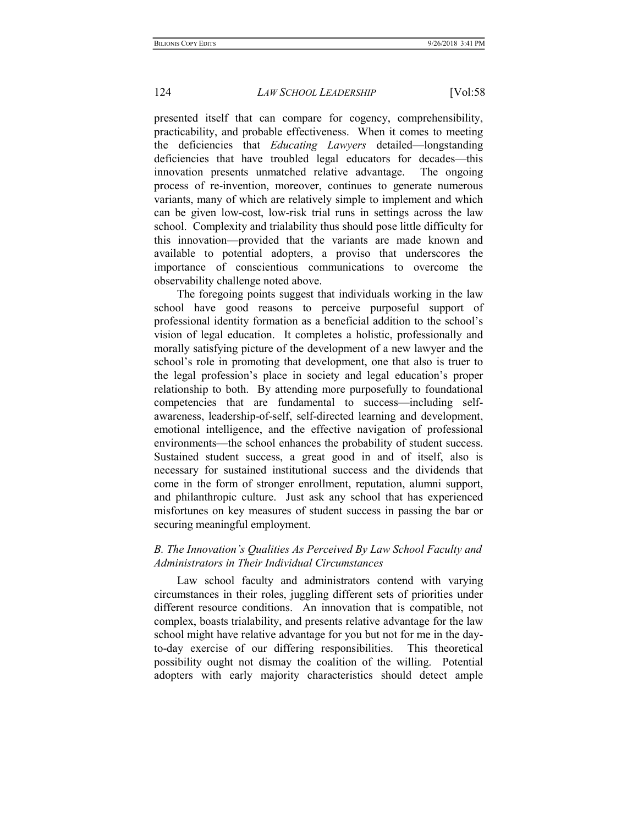presented itself that can compare for cogency, comprehensibility, practicability, and probable effectiveness. When it comes to meeting the deficiencies that Educating Lawyers detailed—longstanding deficiencies that have troubled legal educators for decades—this innovation presents unmatched relative advantage. The ongoing process of re-invention, moreover, continues to generate numerous variants, many of which are relatively simple to implement and which can be given low-cost, low-risk trial runs in settings across the law school. Complexity and trialability thus should pose little difficulty for this innovation—provided that the variants are made known and available to potential adopters, a proviso that underscores the importance of conscientious communications to overcome the observability challenge noted above.

The foregoing points suggest that individuals working in the law school have good reasons to perceive purposeful support of professional identity formation as a beneficial addition to the school's vision of legal education. It completes a holistic, professionally and morally satisfying picture of the development of a new lawyer and the school's role in promoting that development, one that also is truer to the legal profession's place in society and legal education's proper relationship to both. By attending more purposefully to foundational competencies that are fundamental to success—including selfawareness, leadership-of-self, self-directed learning and development, emotional intelligence, and the effective navigation of professional environments—the school enhances the probability of student success. Sustained student success, a great good in and of itself, also is necessary for sustained institutional success and the dividends that come in the form of stronger enrollment, reputation, alumni support, and philanthropic culture. Just ask any school that has experienced misfortunes on key measures of student success in passing the bar or securing meaningful employment.

# B. The Innovation's Qualities As Perceived By Law School Faculty and Administrators in Their Individual Circumstances

Law school faculty and administrators contend with varying circumstances in their roles, juggling different sets of priorities under different resource conditions. An innovation that is compatible, not complex, boasts trialability, and presents relative advantage for the law school might have relative advantage for you but not for me in the dayto-day exercise of our differing responsibilities. This theoretical possibility ought not dismay the coalition of the willing. Potential adopters with early majority characteristics should detect ample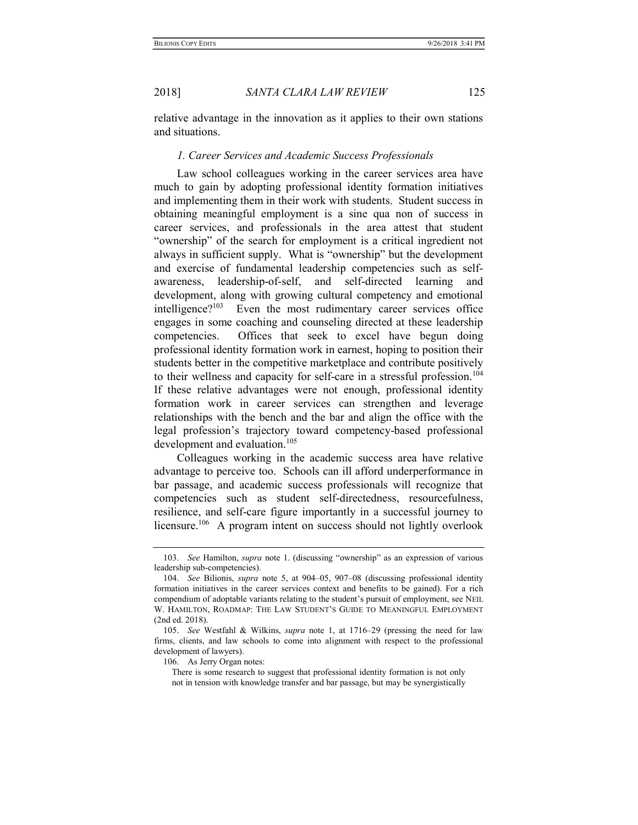relative advantage in the innovation as it applies to their own stations and situations.

#### 1. Career Services and Academic Success Professionals

Law school colleagues working in the career services area have much to gain by adopting professional identity formation initiatives and implementing them in their work with students. Student success in obtaining meaningful employment is a sine qua non of success in career services, and professionals in the area attest that student "ownership" of the search for employment is a critical ingredient not always in sufficient supply. What is "ownership" but the development and exercise of fundamental leadership competencies such as selfawareness, leadership-of-self, and self-directed learning and development, along with growing cultural competency and emotional intelligence?<sup>103</sup> Even the most rudimentary career services office engages in some coaching and counseling directed at these leadership competencies. Offices that seek to excel have begun doing professional identity formation work in earnest, hoping to position their students better in the competitive marketplace and contribute positively to their wellness and capacity for self-care in a stressful profession.<sup>104</sup> If these relative advantages were not enough, professional identity formation work in career services can strengthen and leverage relationships with the bench and the bar and align the office with the legal profession's trajectory toward competency-based professional development and evaluation.<sup>105</sup>

Colleagues working in the academic success area have relative advantage to perceive too. Schools can ill afford underperformance in bar passage, and academic success professionals will recognize that competencies such as student self-directedness, resourcefulness, resilience, and self-care figure importantly in a successful journey to licensure.<sup>106</sup> A program intent on success should not lightly overlook

 <sup>103.</sup> See Hamilton, supra note 1. (discussing "ownership" as an expression of various leadership sub-competencies).

 <sup>104.</sup> See Bilionis, supra note 5, at 904–05, 907–08 (discussing professional identity formation initiatives in the career services context and benefits to be gained). For a rich compendium of adoptable variants relating to the student's pursuit of employment, see NEIL W. HAMILTON, ROADMAP: THE LAW STUDENT'S GUIDE TO MEANINGFUL EMPLOYMENT (2nd ed. 2018).

 <sup>105.</sup> See Westfahl & Wilkins, supra note 1, at 1716–29 (pressing the need for law firms, clients, and law schools to come into alignment with respect to the professional development of lawyers).

 <sup>106.</sup> As Jerry Organ notes:

There is some research to suggest that professional identity formation is not only not in tension with knowledge transfer and bar passage, but may be synergistically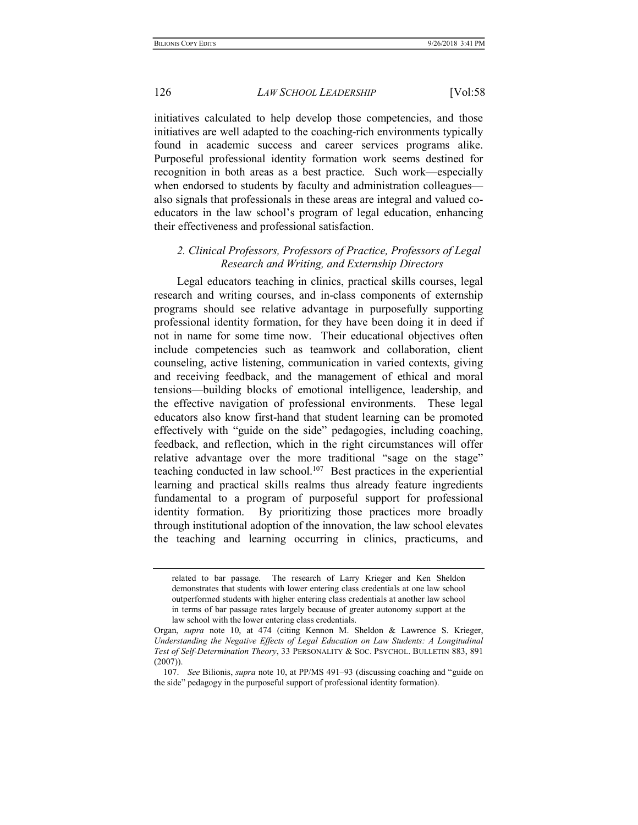initiatives calculated to help develop those competencies, and those initiatives are well adapted to the coaching-rich environments typically found in academic success and career services programs alike. Purposeful professional identity formation work seems destined for recognition in both areas as a best practice. Such work—especially when endorsed to students by faculty and administration colleagues also signals that professionals in these areas are integral and valued coeducators in the law school's program of legal education, enhancing their effectiveness and professional satisfaction.

# 2. Clinical Professors, Professors of Practice, Professors of Legal Research and Writing, and Externship Directors

Legal educators teaching in clinics, practical skills courses, legal research and writing courses, and in-class components of externship programs should see relative advantage in purposefully supporting professional identity formation, for they have been doing it in deed if not in name for some time now. Their educational objectives often include competencies such as teamwork and collaboration, client counseling, active listening, communication in varied contexts, giving and receiving feedback, and the management of ethical and moral tensions—building blocks of emotional intelligence, leadership, and the effective navigation of professional environments. These legal educators also know first-hand that student learning can be promoted effectively with "guide on the side" pedagogies, including coaching, feedback, and reflection, which in the right circumstances will offer relative advantage over the more traditional "sage on the stage" teaching conducted in law school.<sup>107</sup> Best practices in the experiential learning and practical skills realms thus already feature ingredients fundamental to a program of purposeful support for professional identity formation. By prioritizing those practices more broadly through institutional adoption of the innovation, the law school elevates the teaching and learning occurring in clinics, practicums, and

related to bar passage. The research of Larry Krieger and Ken Sheldon demonstrates that students with lower entering class credentials at one law school outperformed students with higher entering class credentials at another law school in terms of bar passage rates largely because of greater autonomy support at the law school with the lower entering class credentials.

Organ, supra note 10, at 474 (citing Kennon M. Sheldon & Lawrence S. Krieger, Understanding the Negative Effects of Legal Education on Law Students: A Longitudinal Test of Self-Determination Theory, 33 PERSONALITY & SOC. PSYCHOL. BULLETIN 883, 891 (2007)).

 <sup>107.</sup> See Bilionis, supra note 10, at PP/MS 491–93 (discussing coaching and "guide on the side" pedagogy in the purposeful support of professional identity formation).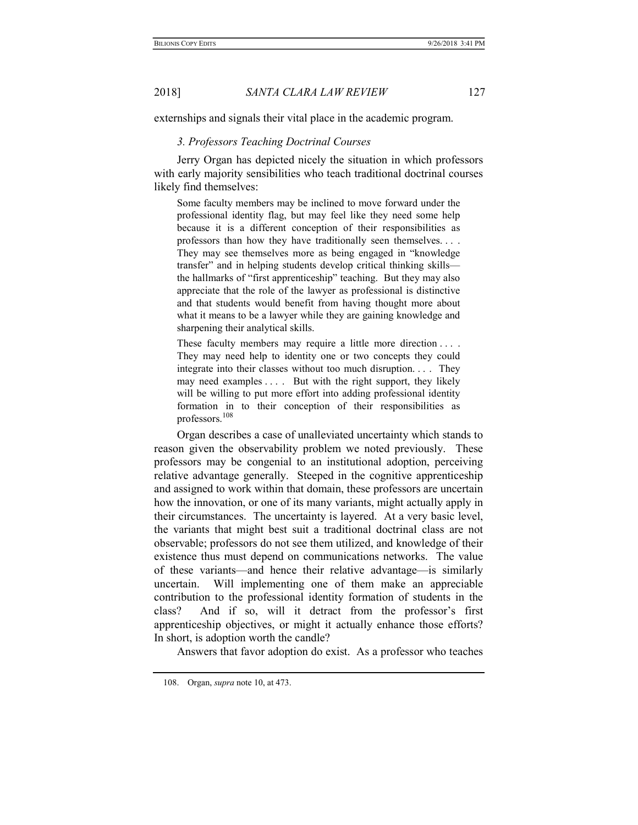externships and signals their vital place in the academic program.

#### 3. Professors Teaching Doctrinal Courses

Jerry Organ has depicted nicely the situation in which professors with early majority sensibilities who teach traditional doctrinal courses likely find themselves:

Some faculty members may be inclined to move forward under the professional identity flag, but may feel like they need some help because it is a different conception of their responsibilities as professors than how they have traditionally seen themselves. . . . They may see themselves more as being engaged in "knowledge transfer" and in helping students develop critical thinking skills the hallmarks of "first apprenticeship" teaching. But they may also appreciate that the role of the lawyer as professional is distinctive and that students would benefit from having thought more about what it means to be a lawyer while they are gaining knowledge and sharpening their analytical skills.

These faculty members may require a little more direction .... They may need help to identity one or two concepts they could integrate into their classes without too much disruption. . . . They may need examples . . . . But with the right support, they likely will be willing to put more effort into adding professional identity formation in to their conception of their responsibilities as professors.<sup>108</sup>

Organ describes a case of unalleviated uncertainty which stands to reason given the observability problem we noted previously. These professors may be congenial to an institutional adoption, perceiving relative advantage generally. Steeped in the cognitive apprenticeship and assigned to work within that domain, these professors are uncertain how the innovation, or one of its many variants, might actually apply in their circumstances. The uncertainty is layered. At a very basic level, the variants that might best suit a traditional doctrinal class are not observable; professors do not see them utilized, and knowledge of their existence thus must depend on communications networks. The value of these variants—and hence their relative advantage—is similarly uncertain. Will implementing one of them make an appreciable contribution to the professional identity formation of students in the class? And if so, will it detract from the professor's first apprenticeship objectives, or might it actually enhance those efforts? In short, is adoption worth the candle?

Answers that favor adoption do exist. As a professor who teaches

 <sup>108.</sup> Organ, supra note 10, at 473.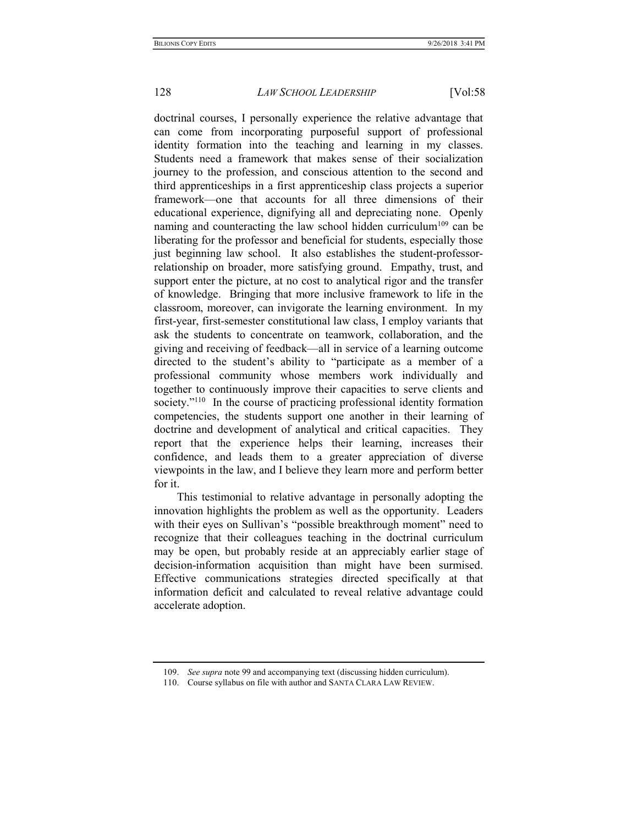doctrinal courses, I personally experience the relative advantage that can come from incorporating purposeful support of professional identity formation into the teaching and learning in my classes. Students need a framework that makes sense of their socialization journey to the profession, and conscious attention to the second and third apprenticeships in a first apprenticeship class projects a superior framework—one that accounts for all three dimensions of their educational experience, dignifying all and depreciating none. Openly naming and counteracting the law school hidden curriculum<sup>109</sup> can be liberating for the professor and beneficial for students, especially those just beginning law school. It also establishes the student-professorrelationship on broader, more satisfying ground. Empathy, trust, and support enter the picture, at no cost to analytical rigor and the transfer of knowledge. Bringing that more inclusive framework to life in the classroom, moreover, can invigorate the learning environment. In my first-year, first-semester constitutional law class, I employ variants that ask the students to concentrate on teamwork, collaboration, and the giving and receiving of feedback—all in service of a learning outcome directed to the student's ability to "participate as a member of a professional community whose members work individually and together to continuously improve their capacities to serve clients and society."<sup>110</sup> In the course of practicing professional identity formation competencies, the students support one another in their learning of doctrine and development of analytical and critical capacities. They report that the experience helps their learning, increases their confidence, and leads them to a greater appreciation of diverse viewpoints in the law, and I believe they learn more and perform better for it.

This testimonial to relative advantage in personally adopting the innovation highlights the problem as well as the opportunity. Leaders with their eyes on Sullivan's "possible breakthrough moment" need to recognize that their colleagues teaching in the doctrinal curriculum may be open, but probably reside at an appreciably earlier stage of decision-information acquisition than might have been surmised. Effective communications strategies directed specifically at that information deficit and calculated to reveal relative advantage could accelerate adoption.

 <sup>109.</sup> See supra note 99 and accompanying text (discussing hidden curriculum).

 <sup>110.</sup> Course syllabus on file with author and SANTA CLARA LAW REVIEW.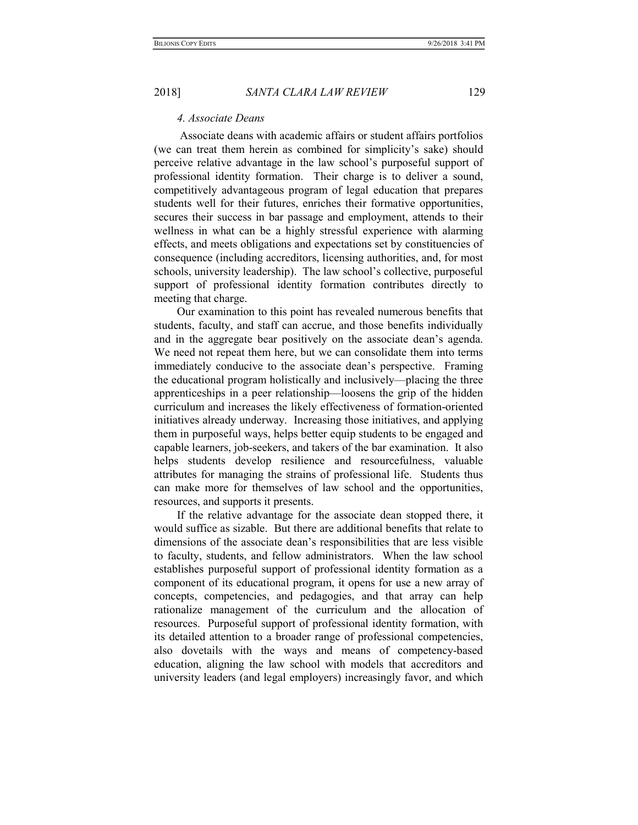#### 4. Associate Deans

 Associate deans with academic affairs or student affairs portfolios (we can treat them herein as combined for simplicity's sake) should perceive relative advantage in the law school's purposeful support of professional identity formation. Their charge is to deliver a sound, competitively advantageous program of legal education that prepares students well for their futures, enriches their formative opportunities, secures their success in bar passage and employment, attends to their wellness in what can be a highly stressful experience with alarming effects, and meets obligations and expectations set by constituencies of consequence (including accreditors, licensing authorities, and, for most schools, university leadership). The law school's collective, purposeful support of professional identity formation contributes directly to meeting that charge.

Our examination to this point has revealed numerous benefits that students, faculty, and staff can accrue, and those benefits individually and in the aggregate bear positively on the associate dean's agenda. We need not repeat them here, but we can consolidate them into terms immediately conducive to the associate dean's perspective. Framing the educational program holistically and inclusively—placing the three apprenticeships in a peer relationship—loosens the grip of the hidden curriculum and increases the likely effectiveness of formation-oriented initiatives already underway. Increasing those initiatives, and applying them in purposeful ways, helps better equip students to be engaged and capable learners, job-seekers, and takers of the bar examination. It also helps students develop resilience and resourcefulness, valuable attributes for managing the strains of professional life. Students thus can make more for themselves of law school and the opportunities, resources, and supports it presents.

If the relative advantage for the associate dean stopped there, it would suffice as sizable. But there are additional benefits that relate to dimensions of the associate dean's responsibilities that are less visible to faculty, students, and fellow administrators. When the law school establishes purposeful support of professional identity formation as a component of its educational program, it opens for use a new array of concepts, competencies, and pedagogies, and that array can help rationalize management of the curriculum and the allocation of resources. Purposeful support of professional identity formation, with its detailed attention to a broader range of professional competencies, also dovetails with the ways and means of competency-based education, aligning the law school with models that accreditors and university leaders (and legal employers) increasingly favor, and which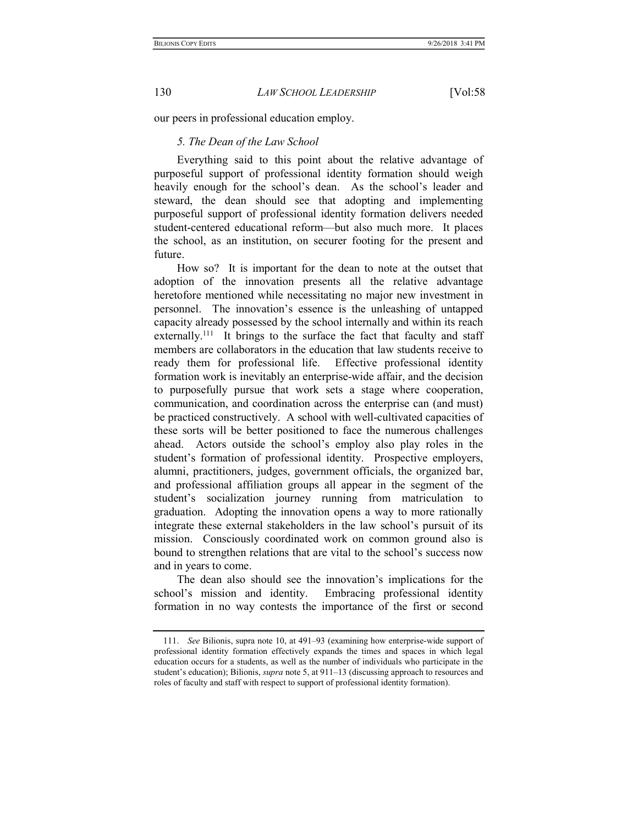our peers in professional education employ.

## 5. The Dean of the Law School

Everything said to this point about the relative advantage of purposeful support of professional identity formation should weigh heavily enough for the school's dean. As the school's leader and steward, the dean should see that adopting and implementing purposeful support of professional identity formation delivers needed student-centered educational reform—but also much more. It places the school, as an institution, on securer footing for the present and future.

How so? It is important for the dean to note at the outset that adoption of the innovation presents all the relative advantage heretofore mentioned while necessitating no major new investment in personnel. The innovation's essence is the unleashing of untapped capacity already possessed by the school internally and within its reach externally.<sup>111</sup> It brings to the surface the fact that faculty and staff members are collaborators in the education that law students receive to ready them for professional life. Effective professional identity formation work is inevitably an enterprise-wide affair, and the decision to purposefully pursue that work sets a stage where cooperation, communication, and coordination across the enterprise can (and must) be practiced constructively. A school with well-cultivated capacities of these sorts will be better positioned to face the numerous challenges ahead. Actors outside the school's employ also play roles in the student's formation of professional identity. Prospective employers, alumni, practitioners, judges, government officials, the organized bar, and professional affiliation groups all appear in the segment of the student's socialization journey running from matriculation to graduation. Adopting the innovation opens a way to more rationally integrate these external stakeholders in the law school's pursuit of its mission. Consciously coordinated work on common ground also is bound to strengthen relations that are vital to the school's success now and in years to come.

The dean also should see the innovation's implications for the school's mission and identity. Embracing professional identity formation in no way contests the importance of the first or second

 <sup>111.</sup> See Bilionis, supra note 10, at 491–93 (examining how enterprise-wide support of professional identity formation effectively expands the times and spaces in which legal education occurs for a students, as well as the number of individuals who participate in the student's education); Bilionis, *supra* note 5, at 911–13 (discussing approach to resources and roles of faculty and staff with respect to support of professional identity formation).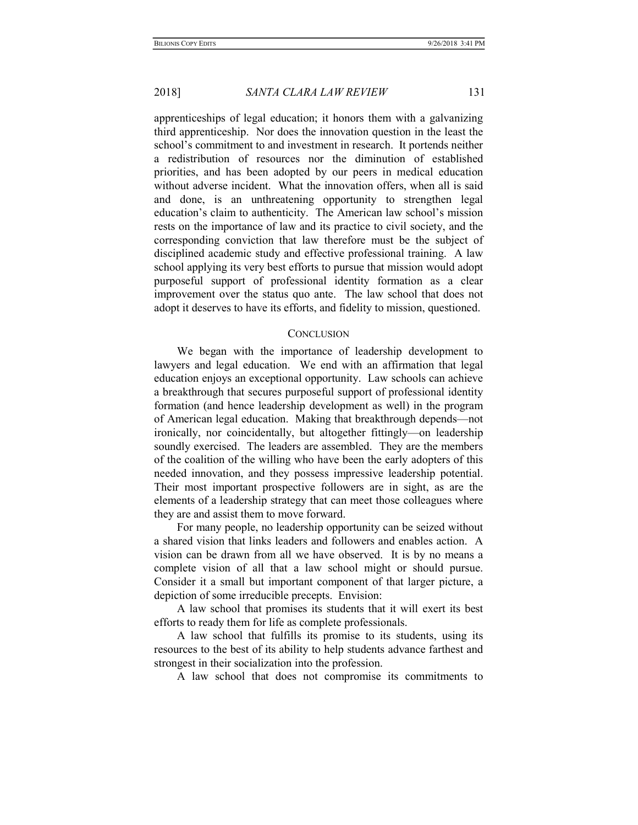apprenticeships of legal education; it honors them with a galvanizing third apprenticeship. Nor does the innovation question in the least the school's commitment to and investment in research. It portends neither a redistribution of resources nor the diminution of established priorities, and has been adopted by our peers in medical education without adverse incident. What the innovation offers, when all is said and done, is an unthreatening opportunity to strengthen legal education's claim to authenticity. The American law school's mission rests on the importance of law and its practice to civil society, and the corresponding conviction that law therefore must be the subject of disciplined academic study and effective professional training. A law school applying its very best efforts to pursue that mission would adopt purposeful support of professional identity formation as a clear improvement over the status quo ante. The law school that does not adopt it deserves to have its efforts, and fidelity to mission, questioned.

#### **CONCLUSION**

We began with the importance of leadership development to lawyers and legal education. We end with an affirmation that legal education enjoys an exceptional opportunity. Law schools can achieve a breakthrough that secures purposeful support of professional identity formation (and hence leadership development as well) in the program of American legal education. Making that breakthrough depends—not ironically, nor coincidentally, but altogether fittingly—on leadership soundly exercised. The leaders are assembled. They are the members of the coalition of the willing who have been the early adopters of this needed innovation, and they possess impressive leadership potential. Their most important prospective followers are in sight, as are the elements of a leadership strategy that can meet those colleagues where they are and assist them to move forward.

For many people, no leadership opportunity can be seized without a shared vision that links leaders and followers and enables action. A vision can be drawn from all we have observed. It is by no means a complete vision of all that a law school might or should pursue. Consider it a small but important component of that larger picture, a depiction of some irreducible precepts. Envision:

A law school that promises its students that it will exert its best efforts to ready them for life as complete professionals.

A law school that fulfills its promise to its students, using its resources to the best of its ability to help students advance farthest and strongest in their socialization into the profession.

A law school that does not compromise its commitments to